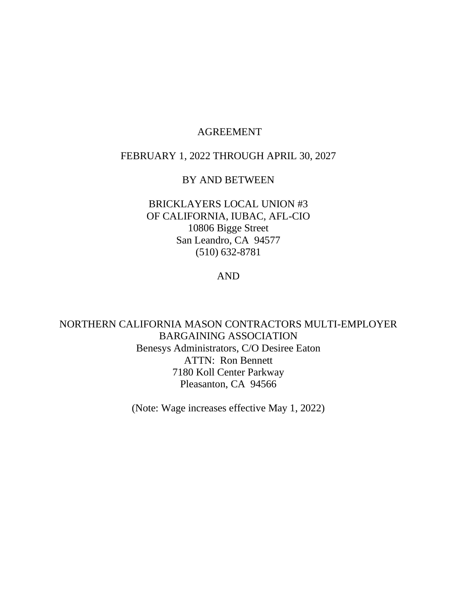## AGREEMENT

## FEBRUARY 1, 2022 THROUGH APRIL 30, 2027

## BY AND BETWEEN

## BRICKLAYERS LOCAL UNION #3 OF CALIFORNIA, IUBAC, AFL-CIO 10806 Bigge Street San Leandro, CA 94577 (510) 632-8781

## AND

NORTHERN CALIFORNIA MASON CONTRACTORS MULTI-EMPLOYER BARGAINING ASSOCIATION Benesys Administrators, C/O Desiree Eaton ATTN: Ron Bennett 7180 Koll Center Parkway Pleasanton, CA 94566

(Note: Wage increases effective May 1, 2022)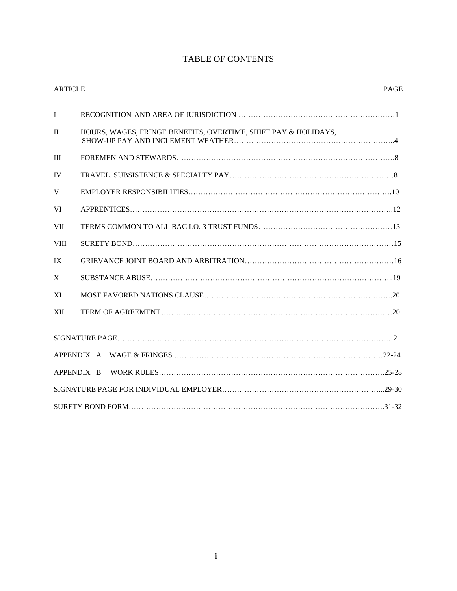## TABLE OF CONTENTS

| <b>ARTICLE</b> | <u> 1989 - Johann Stoff, amerikansk politiker (d. 1989)</u>    | PAGE |
|----------------|----------------------------------------------------------------|------|
| $\mathbf I$    |                                                                |      |
| $\mathbf{I}$   | HOURS, WAGES, FRINGE BENEFITS, OVERTIME, SHIFT PAY & HOLIDAYS, |      |
| III            |                                                                |      |
| <b>IV</b>      |                                                                |      |
| V              |                                                                |      |
| <b>VI</b>      |                                                                |      |
| <b>VII</b>     |                                                                |      |
| <b>VIII</b>    |                                                                |      |
| IX             |                                                                |      |
| X              |                                                                |      |
| XI             |                                                                |      |
| <b>XII</b>     |                                                                |      |
|                |                                                                |      |
|                |                                                                |      |
|                | APPENDIX B                                                     |      |
|                |                                                                |      |
|                |                                                                |      |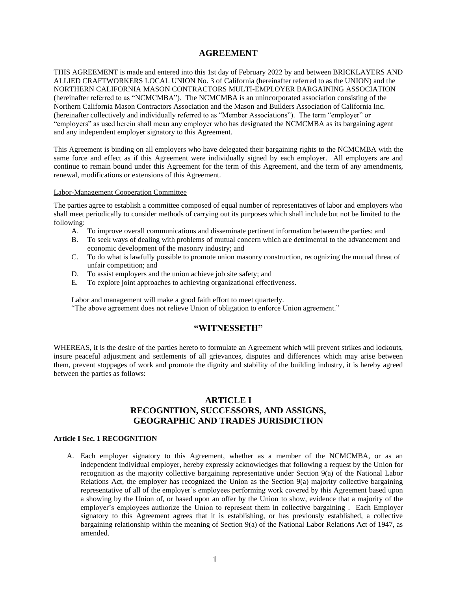## **AGREEMENT**

THIS AGREEMENT is made and entered into this 1st day of February 2022 by and between BRICKLAYERS AND ALLIED CRAFTWORKERS LOCAL UNION No. 3 of California (hereinafter referred to as the UNION) and the NORTHERN CALIFORNIA MASON CONTRACTORS MULTI-EMPLOYER BARGAINING ASSOCIATION (hereinafter referred to as "NCMCMBA"). The NCMCMBA is an unincorporated association consisting of the Northern California Mason Contractors Association and the Mason and Builders Association of California Inc. (hereinafter collectively and individually referred to as "Member Associations"). The term "employer" or "employers" as used herein shall mean any employer who has designated the NCMCMBA as its bargaining agent and any independent employer signatory to this Agreement.

This Agreement is binding on all employers who have delegated their bargaining rights to the NCMCMBA with the same force and effect as if this Agreement were individually signed by each employer. All employers are and continue to remain bound under this Agreement for the term of this Agreement, and the term of any amendments, renewal, modifications or extensions of this Agreement.

#### Labor-Management Cooperation Committee

The parties agree to establish a committee composed of equal number of representatives of labor and employers who shall meet periodically to consider methods of carrying out its purposes which shall include but not be limited to the following:

- A. To improve overall communications and disseminate pertinent information between the parties: and
- B. To seek ways of dealing with problems of mutual concern which are detrimental to the advancement and economic development of the masonry industry; and
- C. To do what is lawfully possible to promote union masonry construction, recognizing the mutual threat of unfair competition; and
- D. To assist employers and the union achieve job site safety; and
- E. To explore joint approaches to achieving organizational effectiveness.

Labor and management will make a good faith effort to meet quarterly. "The above agreement does not relieve Union of obligation to enforce Union agreement."

## **"WITNESSETH"**

WHEREAS, it is the desire of the parties hereto to formulate an Agreement which will prevent strikes and lockouts, insure peaceful adjustment and settlements of all grievances, disputes and differences which may arise between them, prevent stoppages of work and promote the dignity and stability of the building industry, it is hereby agreed between the parties as follows:

## **ARTICLE I RECOGNITION, SUCCESSORS, AND ASSIGNS, GEOGRAPHIC AND TRADES JURISDICTION**

### **Article I Sec. 1 RECOGNITION**

 A. Each employer signatory to this Agreement, whether as a member of the NCMCMBA, or as an independent individual employer, hereby expressly acknowledges that following a request by the Union for recognition as the majority collective bargaining representative under Section 9(a) of the National Labor Relations Act, the employer has recognized the Union as the Section 9(a) majority collective bargaining representative of all of the employer's employees performing work covered by this Agreement based upon a showing by the Union of, or based upon an offer by the Union to show, evidence that a majority of the employer's employees authorize the Union to represent them in collective bargaining . Each Employer signatory to this Agreement agrees that it is establishing, or has previously established, a collective bargaining relationship within the meaning of Section 9(a) of the National Labor Relations Act of 1947, as amended.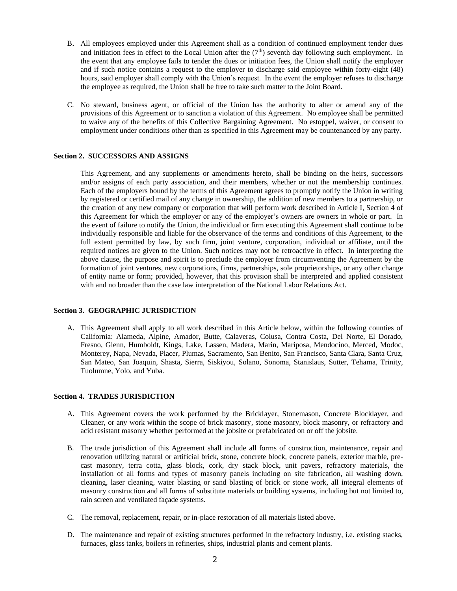- B. All employees employed under this Agreement shall as a condition of continued employment tender dues and initiation fees in effect to the Local Union after the  $(7<sup>th</sup>)$  seventh day following such employment. In the event that any employee fails to tender the dues or initiation fees, the Union shall notify the employer and if such notice contains a request to the employer to discharge said employee within forty-eight (48) hours, said employer shall comply with the Union's request. In the event the employer refuses to discharge the employee as required, the Union shall be free to take such matter to the Joint Board.
- C. No steward, business agent, or official of the Union has the authority to alter or amend any of the provisions of this Agreement or to sanction a violation of this Agreement. No employee shall be permitted to waive any of the benefits of this Collective Bargaining Agreement. No estoppel, waiver, or consent to employment under conditions other than as specified in this Agreement may be countenanced by any party.

### **Section 2. SUCCESSORS AND ASSIGNS**

This Agreement, and any supplements or amendments hereto, shall be binding on the heirs, successors and/or assigns of each party association, and their members, whether or not the membership continues. Each of the employers bound by the terms of this Agreement agrees to promptly notify the Union in writing by registered or certified mail of any change in ownership, the addition of new members to a partnership, or the creation of any new company or corporation that will perform work described in Article I, Section 4 of this Agreement for which the employer or any of the employer's owners are owners in whole or part. In the event of failure to notify the Union, the individual or firm executing this Agreement shall continue to be individually responsible and liable for the observance of the terms and conditions of this Agreement, to the full extent permitted by law, by such firm, joint venture, corporation, individual or affiliate, until the required notices are given to the Union. Such notices may not be retroactive in effect. In interpreting the above clause, the purpose and spirit is to preclude the employer from circumventing the Agreement by the formation of joint ventures, new corporations, firms, partnerships, sole proprietorships, or any other change of entity name or form; provided, however, that this provision shall be interpreted and applied consistent with and no broader than the case law interpretation of the National Labor Relations Act.

### **Section 3. GEOGRAPHIC JURISDICTION**

A. This Agreement shall apply to all work described in this Article below, within the following counties of California: Alameda, Alpine, Amador, Butte, Calaveras, Colusa, Contra Costa, Del Norte, El Dorado, Fresno, Glenn, Humboldt, Kings, Lake, Lassen, Madera, Marin, Mariposa, Mendocino, Merced, Modoc, Monterey, Napa, Nevada, Placer, Plumas, Sacramento, San Benito, San Francisco, Santa Clara, Santa Cruz, San Mateo, San Joaquin, Shasta, Sierra, Siskiyou, Solano, Sonoma, Stanislaus, Sutter, Tehama, Trinity, Tuolumne, Yolo, and Yuba.

## **Section 4. TRADES JURISDICTION**

- A. This Agreement covers the work performed by the Bricklayer, Stonemason, Concrete Blocklayer, and Cleaner, or any work within the scope of brick masonry, stone masonry, block masonry, or refractory and acid resistant masonry whether performed at the jobsite or prefabricated on or off the jobsite.
- B. The trade jurisdiction of this Agreement shall include all forms of construction, maintenance, repair and renovation utilizing natural or artificial brick, stone, concrete block, concrete panels, exterior marble, precast masonry, terra cotta, glass block, cork, dry stack block, unit pavers, refractory materials, the installation of all forms and types of masonry panels including on site fabrication, all washing down, cleaning, laser cleaning, water blasting or sand blasting of brick or stone work, all integral elements of masonry construction and all forms of substitute materials or building systems, including but not limited to, rain screen and ventilated façade systems.
- C. The removal, replacement, repair, or in-place restoration of all materials listed above.
- D. The maintenance and repair of existing structures performed in the refractory industry, i.e. existing stacks, furnaces, glass tanks, boilers in refineries, ships, industrial plants and cement plants.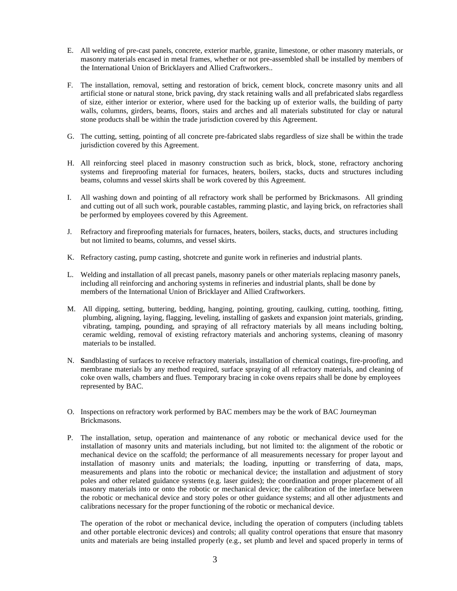- E. All welding of pre-cast panels, concrete, exterior marble, granite, limestone, or other masonry materials, or masonry materials encased in metal frames, whether or not pre-assembled shall be installed by members of the International Union of Bricklayers and Allied Craftworkers..
- F. The installation, removal, setting and restoration of brick, cement block, concrete masonry units and all artificial stone or natural stone, brick paving, dry stack retaining walls and all prefabricated slabs regardless of size, either interior or exterior, where used for the backing up of exterior walls, the building of party walls, columns, girders, beams, floors, stairs and arches and all materials substituted for clay or natural stone products shall be within the trade jurisdiction covered by this Agreement.
- G. The cutting, setting, pointing of all concrete pre-fabricated slabs regardless of size shall be within the trade jurisdiction covered by this Agreement.
- H. All reinforcing steel placed in masonry construction such as brick, block, stone, refractory anchoring systems and fireproofing material for furnaces, heaters, boilers, stacks, ducts and structures including beams, columns and vessel skirts shall be work covered by this Agreement.
- I. All washing down and pointing of all refractory work shall be performed by Brickmasons. All grinding and cutting out of all such work, pourable castables, ramming plastic, and laying brick, on refractories shall be performed by employees covered by this Agreement.
- J. Refractory and fireproofing materials for furnaces, heaters, boilers, stacks, ducts, and structures including but not limited to beams, columns, and vessel skirts.
- K. Refractory casting, pump casting, shotcrete and gunite work in refineries and industrial plants.
- L. Welding and installation of all precast panels, masonry panels or other materials replacing masonry panels, including all reinforcing and anchoring systems in refineries and industrial plants, shall be done by members of the International Union of Bricklayer and Allied Craftworkers.
- M. All dipping, setting, buttering, bedding, hanging, pointing, grouting, caulking, cutting, toothing, fitting, plumbing, aligning, laying, flagging, leveling, installing of gaskets and expansion joint materials, grinding, vibrating, tamping, pounding, and spraying of all refractory materials by all means including bolting, ceramic welding, removal of existing refractory materials and anchoring systems, cleaning of masonry materials to be installed.
- N. **S**andblasting of surfaces to receive refractory materials, installation of chemical coatings, fire-proofing, and membrane materials by any method required, surface spraying of all refractory materials, and cleaning of coke oven walls, chambers and flues. Temporary bracing in coke ovens repairs shall be done by employees represented by BAC.
- O. Inspections on refractory work performed by BAC members may be the work of BAC Journeyman Brickmasons.
- P. The installation, setup, operation and maintenance of any robotic or mechanical device used for the installation of masonry units and materials including, but not limited to: the alignment of the robotic or mechanical device on the scaffold; the performance of all measurements necessary for proper layout and installation of masonry units and materials; the loading, inputting or transferring of data, maps, measurements and plans into the robotic or mechanical device; the installation and adjustment of story poles and other related guidance systems (e.g. laser guides); the coordination and proper placement of all masonry materials into or onto the robotic or mechanical device; the calibration of the interface between the robotic or mechanical device and story poles or other guidance systems; and all other adjustments and calibrations necessary for the proper functioning of the robotic or mechanical device.

The operation of the robot or mechanical device, including the operation of computers (including tablets and other portable electronic devices) and controls; all quality control operations that ensure that masonry units and materials are being installed properly (e.g., set plumb and level and spaced properly in terms of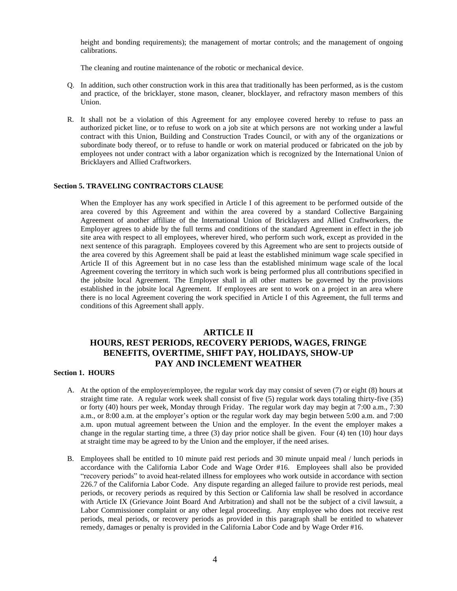height and bonding requirements); the management of mortar controls; and the management of ongoing calibrations.

The cleaning and routine maintenance of the robotic or mechanical device.

- Q. In addition, such other construction work in this area that traditionally has been performed, as is the custom and practice, of the bricklayer, stone mason, cleaner, blocklayer, and refractory mason members of this Union.
- R. It shall not be a violation of this Agreement for any employee covered hereby to refuse to pass an authorized picket line, or to refuse to work on a job site at which persons are not working under a lawful contract with this Union, Building and Construction Trades Council, or with any of the organizations or subordinate body thereof, or to refuse to handle or work on material produced or fabricated on the job by employees not under contract with a labor organization which is recognized by the International Union of Bricklayers and Allied Craftworkers.

### **Section 5. TRAVELING CONTRACTORS CLAUSE**

When the Employer has any work specified in Article I of this agreement to be performed outside of the area covered by this Agreement and within the area covered by a standard Collective Bargaining Agreement of another affiliate of the International Union of Bricklayers and Allied Craftworkers, the Employer agrees to abide by the full terms and conditions of the standard Agreement in effect in the job site area with respect to all employees, wherever hired, who perform such work, except as provided in the next sentence of this paragraph. Employees covered by this Agreement who are sent to projects outside of the area covered by this Agreement shall be paid at least the established minimum wage scale specified in Article II of this Agreement but in no case less than the established minimum wage scale of the local Agreement covering the territory in which such work is being performed plus all contributions specified in the jobsite local Agreement. The Employer shall in all other matters be governed by the provisions established in the jobsite local Agreement. If employees are sent to work on a project in an area where there is no local Agreement covering the work specified in Article I of this Agreement, the full terms and conditions of this Agreement shall apply.

## **ARTICLE II HOURS, REST PERIODS, RECOVERY PERIODS, WAGES, FRINGE BENEFITS, OVERTIME, SHIFT PAY, HOLIDAYS, SHOW-UP PAY AND INCLEMENT WEATHER**

## **Section 1. HOURS**

- A. At the option of the employer/employee, the regular work day may consist of seven (7) or eight (8) hours at straight time rate. A regular work week shall consist of five (5) regular work days totaling thirty-five (35) or forty (40) hours per week, Monday through Friday. The regular work day may begin at 7:00 a.m., 7:30 a.m., or 8:00 a.m. at the employer's option or the regular work day may begin between 5:00 a.m. and 7:00 a.m. upon mutual agreement between the Union and the employer. In the event the employer makes a change in the regular starting time, a three (3) day prior notice shall be given. Four (4) ten (10) hour days at straight time may be agreed to by the Union and the employer, if the need arises.
- B. Employees shall be entitled to 10 minute paid rest periods and 30 minute unpaid meal / lunch periods in accordance with the California Labor Code and Wage Order #16. Employees shall also be provided "recovery periods" to avoid heat-related illness for employees who work outside in accordance with section 226.7 of the California Labor Code. Any dispute regarding an alleged failure to provide rest periods, meal periods, or recovery periods as required by this Section or California law shall be resolved in accordance with Article IX (Grievance Joint Board And Arbitration) and shall not be the subject of a civil lawsuit, a Labor Commissioner complaint or any other legal proceeding. Any employee who does not receive rest periods, meal periods, or recovery periods as provided in this paragraph shall be entitled to whatever remedy, damages or penalty is provided in the California Labor Code and by Wage Order #16.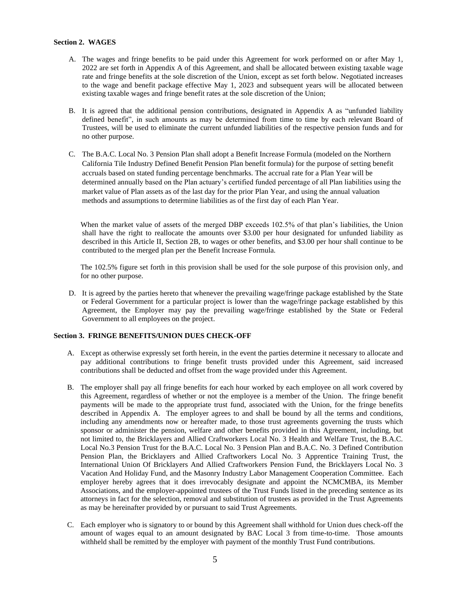## **Section 2. WAGES**

- A. The wages and fringe benefits to be paid under this Agreement for work performed on or after May 1, 2022 are set forth in Appendix A of this Agreement, and shall be allocated between existing taxable wage rate and fringe benefits at the sole discretion of the Union, except as set forth below. Negotiated increases to the wage and benefit package effective May 1, 2023 and subsequent years will be allocated between existing taxable wages and fringe benefit rates at the sole discretion of the Union;
- B. It is agreed that the additional pension contributions, designated in Appendix A as "unfunded liability defined benefit", in such amounts as may be determined from time to time by each relevant Board of Trustees, will be used to eliminate the current unfunded liabilities of the respective pension funds and for no other purpose.
- C. The B.A.C. Local No. 3 Pension Plan shall adopt a Benefit Increase Formula (modeled on the Northern California Tile Industry Defined Benefit Pension Plan benefit formula) for the purpose of setting benefit accruals based on stated funding percentage benchmarks. The accrual rate for a Plan Year will be determined annually based on the Plan actuary's certified funded percentage of all Plan liabilities using the market value of Plan assets as of the last day for the prior Plan Year, and using the annual valuation methods and assumptions to determine liabilities as of the first day of each Plan Year.

When the market value of assets of the merged DBP exceeds 102.5% of that plan's liabilities, the Union shall have the right to reallocate the amounts over \$3.00 per hour designated for unfunded liability as described in this Article II, Section 2B, to wages or other benefits, and \$3.00 per hour shall continue to be contributed to the merged plan per the Benefit Increase Formula.

The 102.5% figure set forth in this provision shall be used for the sole purpose of this provision only, and for no other purpose.

D. It is agreed by the parties hereto that whenever the prevailing wage/fringe package established by the State or Federal Government for a particular project is lower than the wage/fringe package established by this Agreement, the Employer may pay the prevailing wage/fringe established by the State or Federal Government to all employees on the project.

## **Section 3. FRINGE BENEFITS/UNION DUES CHECK-OFF**

- A. Except as otherwise expressly set forth herein, in the event the parties determine it necessary to allocate and pay additional contributions to fringe benefit trusts provided under this Agreement, said increased contributions shall be deducted and offset from the wage provided under this Agreement.
- B. The employer shall pay all fringe benefits for each hour worked by each employee on all work covered by this Agreement, regardless of whether or not the employee is a member of the Union. The fringe benefit payments will be made to the appropriate trust fund, associated with the Union, for the fringe benefits described in Appendix A. The employer agrees to and shall be bound by all the terms and conditions, including any amendments now or hereafter made, to those trust agreements governing the trusts which sponsor or administer the pension, welfare and other benefits provided in this Agreement, including, but not limited to, the Bricklayers and Allied Craftworkers Local No. 3 Health and Welfare Trust, the B.A.C. Local No.3 Pension Trust for the B.A.C. Local No. 3 Pension Plan and B.A.C. No. 3 Defined Contribution Pension Plan, the Bricklayers and Allied Craftworkers Local No. 3 Apprentice Training Trust, the International Union Of Bricklayers And Allied Craftworkers Pension Fund, the Bricklayers Local No. 3 Vacation And Holiday Fund, and the Masonry Industry Labor Management Cooperation Committee. Each employer hereby agrees that it does irrevocably designate and appoint the NCMCMBA, its Member Associations, and the employer-appointed trustees of the Trust Funds listed in the preceding sentence as its attorneys in fact for the selection, removal and substitution of trustees as provided in the Trust Agreements as may be hereinafter provided by or pursuant to said Trust Agreements.
- C. Each employer who is signatory to or bound by this Agreement shall withhold for Union dues check-off the amount of wages equal to an amount designated by BAC Local 3 from time-to-time. Those amounts withheld shall be remitted by the employer with payment of the monthly Trust Fund contributions.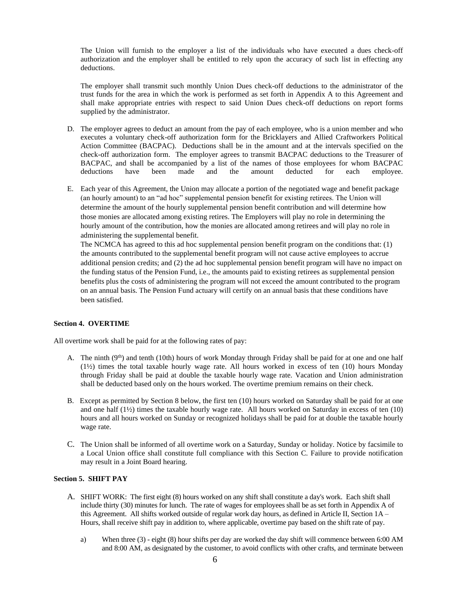The Union will furnish to the employer a list of the individuals who have executed a dues check-off authorization and the employer shall be entitled to rely upon the accuracy of such list in effecting any deductions.

The employer shall transmit such monthly Union Dues check-off deductions to the administrator of the trust funds for the area in which the work is performed as set forth in Appendix A to this Agreement and shall make appropriate entries with respect to said Union Dues check-off deductions on report forms supplied by the administrator.

- D. The employer agrees to deduct an amount from the pay of each employee, who is a union member and who executes a voluntary check-off authorization form for the Bricklayers and Allied Craftworkers Political Action Committee (BACPAC). Deductions shall be in the amount and at the intervals specified on the check-off authorization form. The employer agrees to transmit BACPAC deductions to the Treasurer of BACPAC, and shall be accompanied by a list of the names of those employees for whom BACPAC deductions have been made and the amount deducted for each employee.
- E. Each year of this Agreement, the Union may allocate a portion of the negotiated wage and benefit package (an hourly amount) to an "ad hoc" supplemental pension benefit for existing retirees. The Union will determine the amount of the hourly supplemental pension benefit contribution and will determine how those monies are allocated among existing retires. The Employers will play no role in determining the hourly amount of the contribution, how the monies are allocated among retirees and will play no role in administering the supplemental benefit.

The NCMCA has agreed to this ad hoc supplemental pension benefit program on the conditions that: (1) the amounts contributed to the supplemental benefit program will not cause active employees to accrue additional pension credits; and (2) the ad hoc supplemental pension benefit program will have no impact on the funding status of the Pension Fund, i.e., the amounts paid to existing retirees as supplemental pension benefits plus the costs of administering the program will not exceed the amount contributed to the program on an annual basis. The Pension Fund actuary will certify on an annual basis that these conditions have been satisfied.

## **Section 4. OVERTIME**

All overtime work shall be paid for at the following rates of pay:

- A. The ninth  $(9<sup>th</sup>)$  and tenth (10th) hours of work Monday through Friday shall be paid for at one and one half (1½) times the total taxable hourly wage rate. All hours worked in excess of ten (10) hours Monday through Friday shall be paid at double the taxable hourly wage rate. Vacation and Union administration shall be deducted based only on the hours worked. The overtime premium remains on their check.
- B. Except as permitted by Section 8 below, the first ten (10) hours worked on Saturday shall be paid for at one and one half (1½) times the taxable hourly wage rate. All hours worked on Saturday in excess of ten (10) hours and all hours worked on Sunday or recognized holidays shall be paid for at double the taxable hourly wage rate.
- C. The Union shall be informed of all overtime work on a Saturday, Sunday or holiday. Notice by facsimile to a Local Union office shall constitute full compliance with this Section C. Failure to provide notification may result in a Joint Board hearing.

### **Section 5. SHIFT PAY**

- A. SHIFT WORK: The first eight (8) hours worked on any shift shall constitute a day's work. Each shift shall include thirty (30) minutes for lunch. The rate of wages for employees shall be as set forth in Appendix A of this Agreement. All shifts worked outside of regular work day hours, as defined in Article II, Section 1A – Hours, shall receive shift pay in addition to, where applicable, overtime pay based on the shift rate of pay.
	- a) When three (3) eight (8) hour shifts per day are worked the day shift will commence between 6:00 AM and 8:00 AM, as designated by the customer, to avoid conflicts with other crafts, and terminate between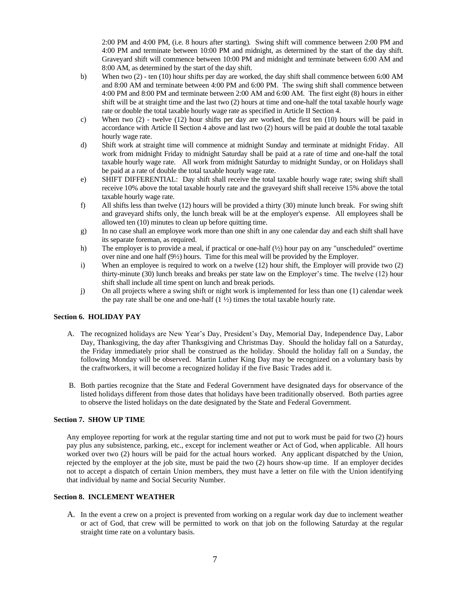2:00 PM and 4:00 PM, (i.e. 8 hours after starting). Swing shift will commence between 2:00 PM and 4:00 PM and terminate between 10:00 PM and midnight, as determined by the start of the day shift. Graveyard shift will commence between 10:00 PM and midnight and terminate between 6:00 AM and 8:00 AM, as determined by the start of the day shift.

- b) When two (2) ten (10) hour shifts per day are worked, the day shift shall commence between 6:00 AM and 8:00 AM and terminate between 4:00 PM and 6:00 PM. The swing shift shall commence between 4:00 PM and 8:00 PM and terminate between 2:00 AM and 6:00 AM. The first eight (8) hours in either shift will be at straight time and the last two (2) hours at time and one-half the total taxable hourly wage rate or double the total taxable hourly wage rate as specified in Article II Section 4.
- c) When two (2) twelve (12) hour shifts per day are worked, the first ten (10) hours will be paid in accordance with Article II Section 4 above and last two (2) hours will be paid at double the total taxable hourly wage rate.
- d) Shift work at straight time will commence at midnight Sunday and terminate at midnight Friday. All work from midnight Friday to midnight Saturday shall be paid at a rate of time and one-half the total taxable hourly wage rate. All work from midnight Saturday to midnight Sunday, or on Holidays shall be paid at a rate of double the total taxable hourly wage rate.
- e) SHIFT DIFFERENTIAL: Day shift shall receive the total taxable hourly wage rate; swing shift shall receive 10% above the total taxable hourly rate and the graveyard shift shall receive 15% above the total taxable hourly wage rate.
- f) All shifts less than twelve (12) hours will be provided a thirty (30) minute lunch break. For swing shift and graveyard shifts only, the lunch break will be at the employer's expense. All employees shall be allowed ten (10) minutes to clean up before quitting time.
- g) In no case shall an employee work more than one shift in any one calendar day and each shift shall have its separate foreman, as required.
- h) The employer is to provide a meal, if practical or one-half (½) hour pay on any "unscheduled" overtime over nine and one half (9½) hours. Time for this meal will be provided by the Employer.
- i) When an employee is required to work on a twelve (12) hour shift, the Employer will provide two (2) thirty-minute (30) lunch breaks and breaks per state law on the Employer's time. The twelve (12) hour shift shall include all time spent on lunch and break periods.
- j) On all projects where a swing shift or night work is implemented for less than one (1) calendar week the pay rate shall be one and one-half  $(1 \frac{1}{2})$  times the total taxable hourly rate.

## **Section 6. HOLIDAY PAY**

- A. The recognized holidays are New Year's Day, President's Day, Memorial Day, Independence Day, Labor Day, Thanksgiving, the day after Thanksgiving and Christmas Day. Should the holiday fall on a Saturday, the Friday immediately prior shall be construed as the holiday. Should the holiday fall on a Sunday, the following Monday will be observed. Martin Luther King Day may be recognized on a voluntary basis by the craftworkers, it will become a recognized holiday if the five Basic Trades add it.
- B. Both parties recognize that the State and Federal Government have designated days for observance of the listed holidays different from those dates that holidays have been traditionally observed. Both parties agree to observe the listed holidays on the date designated by the State and Federal Government.

### **Section 7. SHOW UP TIME**

Any employee reporting for work at the regular starting time and not put to work must be paid for two (2) hours pay plus any subsistence, parking, etc., except for inclement weather or Act of God, when applicable. All hours worked over two (2) hours will be paid for the actual hours worked. Any applicant dispatched by the Union, rejected by the employer at the job site, must be paid the two (2) hours show-up time. If an employer decides not to accept a dispatch of certain Union members, they must have a letter on file with the Union identifying that individual by name and Social Security Number.

### **Section 8. INCLEMENT WEATHER**

A. In the event a crew on a project is prevented from working on a regular work day due to inclement weather or act of God, that crew will be permitted to work on that job on the following Saturday at the regular straight time rate on a voluntary basis.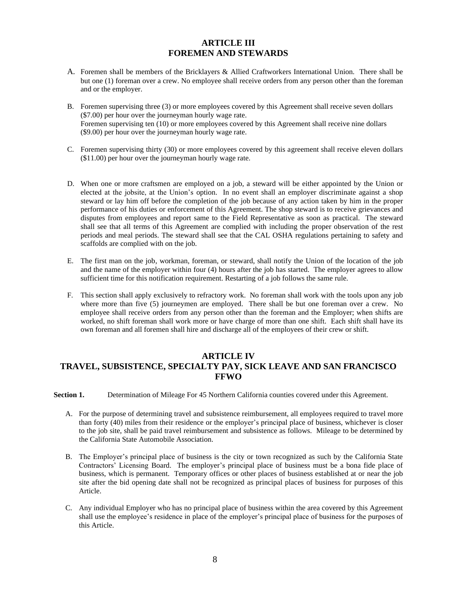## **ARTICLE III FOREMEN AND STEWARDS**

- A. Foremen shall be members of the Bricklayers & Allied Craftworkers International Union. There shall be but one (1) foreman over a crew. No employee shall receive orders from any person other than the foreman and or the employer.
- B. Foremen supervising three (3) or more employees covered by this Agreement shall receive seven dollars (\$7.00) per hour over the journeyman hourly wage rate. Foremen supervising ten (10) or more employees covered by this Agreement shall receive nine dollars (\$9.00) per hour over the journeyman hourly wage rate.
- C. Foremen supervising thirty (30) or more employees covered by this agreement shall receive eleven dollars (\$11.00) per hour over the journeyman hourly wage rate.
- D. When one or more craftsmen are employed on a job, a steward will be either appointed by the Union or elected at the jobsite, at the Union's option. In no event shall an employer discriminate against a shop steward or lay him off before the completion of the job because of any action taken by him in the proper performance of his duties or enforcement of this Agreement. The shop steward is to receive grievances and disputes from employees and report same to the Field Representative as soon as practical. The steward shall see that all terms of this Agreement are complied with including the proper observation of the rest periods and meal periods. The steward shall see that the CAL OSHA regulations pertaining to safety and scaffolds are complied with on the job.
- E. The first man on the job, workman, foreman, or steward, shall notify the Union of the location of the job and the name of the employer within four (4) hours after the job has started. The employer agrees to allow sufficient time for this notification requirement. Restarting of a job follows the same rule.
- F. This section shall apply exclusively to refractory work. No foreman shall work with the tools upon any job where more than five (5) journeymen are employed. There shall be but one foreman over a crew. No employee shall receive orders from any person other than the foreman and the Employer; when shifts are worked, no shift foreman shall work more or have charge of more than one shift. Each shift shall have its own foreman and all foremen shall hire and discharge all of the employees of their crew or shift.

## **ARTICLE IV TRAVEL, SUBSISTENCE, SPECIALTY PAY, SICK LEAVE AND SAN FRANCISCO FFWO**

**Section 1.** Determination of Mileage For 45 Northern California counties covered under this Agreement.

- A. For the purpose of determining travel and subsistence reimbursement, all employees required to travel more than forty (40) miles from their residence or the employer's principal place of business, whichever is closer to the job site, shall be paid travel reimbursement and subsistence as follows. Mileage to be determined by the California State Automobile Association.
- B. The Employer's principal place of business is the city or town recognized as such by the California State Contractors' Licensing Board. The employer's principal place of business must be a bona fide place of business, which is permanent. Temporary offices or other places of business established at or near the job site after the bid opening date shall not be recognized as principal places of business for purposes of this Article.
- C. Any individual Employer who has no principal place of business within the area covered by this Agreement shall use the employee's residence in place of the employer's principal place of business for the purposes of this Article.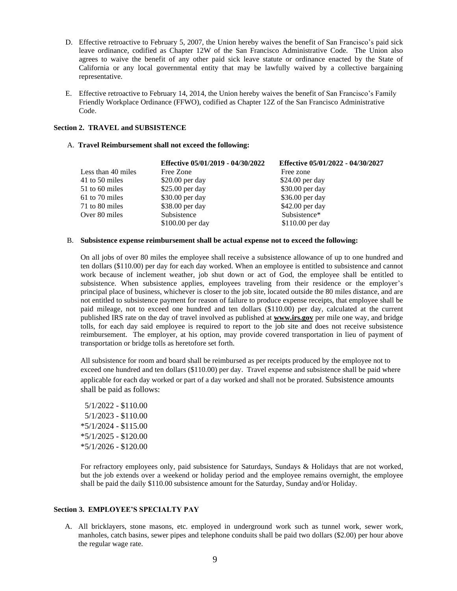- D. Effective retroactive to February 5, 2007, the Union hereby waives the benefit of San Francisco's paid sick leave ordinance, codified as Chapter 12W of the San Francisco Administrative Code. The Union also agrees to waive the benefit of any other paid sick leave statute or ordinance enacted by the State of California or any local governmental entity that may be lawfully waived by a collective bargaining representative.
- E. Effective retroactive to February 14, 2014, the Union hereby waives the benefit of San Francisco's Family Friendly Workplace Ordinance (FFWO), codified as Chapter 12Z of the San Francisco Administrative Code.

## **Section 2. TRAVEL and SUBSISTENCE**

### A. **Travel Reimbursement shall not exceed the following:**

|                    | Effective 05/01/2019 - 04/30/2022 | Effective 05/01/2022 - 04/30/2027 |
|--------------------|-----------------------------------|-----------------------------------|
| Less than 40 miles | Free Zone                         | Free zone                         |
| 41 to 50 miles     | \$20.00 per day                   | $$24.00$ per day                  |
| 51 to 60 miles     | \$25.00 per day                   | \$30.00 per day                   |
| 61 to 70 miles     | \$30.00 per day                   | \$36.00 per day                   |
| 71 to 80 miles     | \$38.00 per day                   | \$42.00 per day                   |
| Over 80 miles      | Subsistence                       | Subsistence*                      |
|                    | $$100.00$ per day                 | $$110.00$ per day                 |
|                    |                                   |                                   |

### B. **Subsistence expense reimbursement shall be actual expense not to exceed the following:**

On all jobs of over 80 miles the employee shall receive a subsistence allowance of up to one hundred and ten dollars (\$110.00) per day for each day worked. When an employee is entitled to subsistence and cannot work because of inclement weather, job shut down or act of God, the employee shall be entitled to subsistence. When subsistence applies, employees traveling from their residence or the employer's principal place of business, whichever is closer to the job site, located outside the 80 miles distance, and are not entitled to subsistence payment for reason of failure to produce expense receipts, that employee shall be paid mileage, not to exceed one hundred and ten dollars (\$110.00) per day, calculated at the current published IRS rate on the day of travel involved as published at **[www.irs.gov](http://www.irs.gov/)** per mile one way, and bridge tolls, for each day said employee is required to report to the job site and does not receive subsistence reimbursement. The employer, at his option, may provide covered transportation in lieu of payment of transportation or bridge tolls as heretofore set forth.

All subsistence for room and board shall be reimbursed as per receipts produced by the employee not to exceed one hundred and ten dollars (\$110.00) per day. Travel expense and subsistence shall be paid where applicable for each day worked or part of a day worked and shall not be prorated. Subsistence amounts shall be paid as follows:

5/1/2022 - \$110.00 5/1/2023 - \$110.00 \*5/1/2024 - \$115.00 \*5/1/2025 - \$120.00 \*5/1/2026 - \$120.00

For refractory employees only, paid subsistence for Saturdays, Sundays & Holidays that are not worked, but the job extends over a weekend or holiday period and the employee remains overnight, the employee shall be paid the daily \$110.00 subsistence amount for the Saturday, Sunday and/or Holiday.

## **Section 3. EMPLOYEE'S SPECIALTY PAY**

A. All bricklayers, stone masons, etc. employed in underground work such as tunnel work, sewer work, manholes, catch basins, sewer pipes and telephone conduits shall be paid two dollars (\$2.00) per hour above the regular wage rate.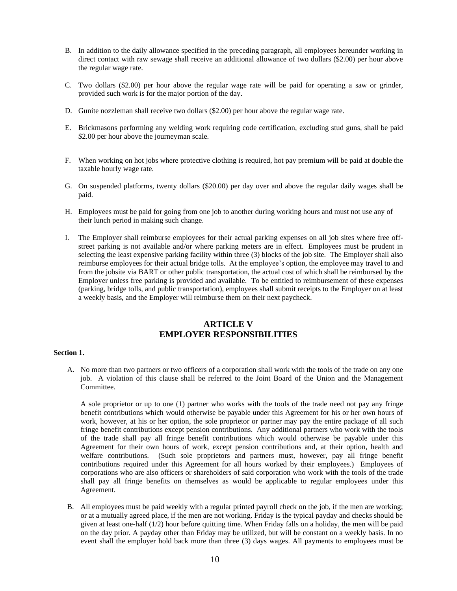- B. In addition to the daily allowance specified in the preceding paragraph, all employees hereunder working in direct contact with raw sewage shall receive an additional allowance of two dollars (\$2.00) per hour above the regular wage rate.
- C. Two dollars (\$2.00) per hour above the regular wage rate will be paid for operating a saw or grinder, provided such work is for the major portion of the day.
- D. Gunite nozzleman shall receive two dollars (\$2.00) per hour above the regular wage rate.
- E. Brickmasons performing any welding work requiring code certification, excluding stud guns, shall be paid \$2.00 per hour above the journeyman scale.
- F. When working on hot jobs where protective clothing is required, hot pay premium will be paid at double the taxable hourly wage rate.
- G. On suspended platforms, twenty dollars (\$20.00) per day over and above the regular daily wages shall be paid.
- H. Employees must be paid for going from one job to another during working hours and must not use any of their lunch period in making such change.
- I. The Employer shall reimburse employees for their actual parking expenses on all job sites where free offstreet parking is not available and/or where parking meters are in effect. Employees must be prudent in selecting the least expensive parking facility within three (3) blocks of the job site. The Employer shall also reimburse employees for their actual bridge tolls. At the employee's option, the employee may travel to and from the jobsite via BART or other public transportation, the actual cost of which shall be reimbursed by the Employer unless free parking is provided and available. To be entitled to reimbursement of these expenses (parking, bridge tolls, and public transportation), employees shall submit receipts to the Employer on at least a weekly basis, and the Employer will reimburse them on their next paycheck.

## **ARTICLE V EMPLOYER RESPONSIBILITIES**

## **Section 1.**

A. No more than two partners or two officers of a corporation shall work with the tools of the trade on any one job. A violation of this clause shall be referred to the Joint Board of the Union and the Management Committee.

A sole proprietor or up to one (1) partner who works with the tools of the trade need not pay any fringe benefit contributions which would otherwise be payable under this Agreement for his or her own hours of work, however, at his or her option, the sole proprietor or partner may pay the entire package of all such fringe benefit contributions except pension contributions. Any additional partners who work with the tools of the trade shall pay all fringe benefit contributions which would otherwise be payable under this Agreement for their own hours of work, except pension contributions and, at their option, health and welfare contributions. (Such sole proprietors and partners must, however, pay all fringe benefit contributions required under this Agreement for all hours worked by their employees.) Employees of corporations who are also officers or shareholders of said corporation who work with the tools of the trade shall pay all fringe benefits on themselves as would be applicable to regular employees under this Agreement.

B. All employees must be paid weekly with a regular printed payroll check on the job, if the men are working; or at a mutually agreed place, if the men are not working. Friday is the typical payday and checks should be given at least one-half (1/2) hour before quitting time. When Friday falls on a holiday, the men will be paid on the day prior. A payday other than Friday may be utilized, but will be constant on a weekly basis. In no event shall the employer hold back more than three (3) days wages. All payments to employees must be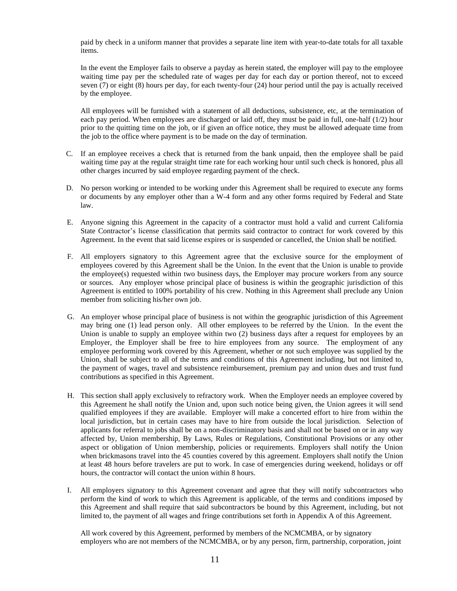paid by check in a uniform manner that provides a separate line item with year-to-date totals for all taxable items.

In the event the Employer fails to observe a payday as herein stated, the employer will pay to the employee waiting time pay per the scheduled rate of wages per day for each day or portion thereof, not to exceed seven (7) or eight (8) hours per day, for each twenty-four (24) hour period until the pay is actually received by the employee.

All employees will be furnished with a statement of all deductions, subsistence, etc, at the termination of each pay period. When employees are discharged or laid off, they must be paid in full, one-half (1/2) hour prior to the quitting time on the job, or if given an office notice, they must be allowed adequate time from the job to the office where payment is to be made on the day of termination.

- C. If an employee receives a check that is returned from the bank unpaid, then the employee shall be paid waiting time pay at the regular straight time rate for each working hour until such check is honored, plus all other charges incurred by said employee regarding payment of the check.
- D. No person working or intended to be working under this Agreement shall be required to execute any forms or documents by any employer other than a W-4 form and any other forms required by Federal and State law.
- E. Anyone signing this Agreement in the capacity of a contractor must hold a valid and current California State Contractor's license classification that permits said contractor to contract for work covered by this Agreement. In the event that said license expires or is suspended or cancelled, the Union shall be notified.
- F. All employers signatory to this Agreement agree that the exclusive source for the employment of employees covered by this Agreement shall be the Union. In the event that the Union is unable to provide the employee(s) requested within two business days, the Employer may procure workers from any source or sources.Any employer whose principal place of business is within the geographic jurisdiction of this Agreement is entitled to 100% portability of his crew. Nothing in this Agreement shall preclude any Union member from soliciting his/her own job.
- G. An employer whose principal place of business is not within the geographic jurisdiction of this Agreement may bring one (1) lead person only. All other employees to be referred by the Union. In the event the Union is unable to supply an employee within two (2) business days after a request for employees by an Employer, the Employer shall be free to hire employees from any source. The employment of any employee performing work covered by this Agreement, whether or not such employee was supplied by the Union, shall be subject to all of the terms and conditions of this Agreement including, but not limited to, the payment of wages, travel and subsistence reimbursement, premium pay and union dues and trust fund contributions as specified in this Agreement.
- H. This section shall apply exclusively to refractory work. When the Employer needs an employee covered by this Agreement he shall notify the Union and, upon such notice being given, the Union agrees it will send qualified employees if they are available. Employer will make a concerted effort to hire from within the local jurisdiction, but in certain cases may have to hire from outside the local jurisdiction. Selection of applicants for referral to jobs shall be on a non-discriminatory basis and shall not be based on or in any way affected by, Union membership, By Laws, Rules or Regulations, Constitutional Provisions or any other aspect or obligation of Union membership, policies or requirements. Employers shall notify the Union when brickmasons travel into the 45 counties covered by this agreement. Employers shall notify the Union at least 48 hours before travelers are put to work. In case of emergencies during weekend, holidays or off hours, the contractor will contact the union within 8 hours.
- I. All employers signatory to this Agreement covenant and agree that they will notify subcontractors who perform the kind of work to which this Agreement is applicable, of the terms and conditions imposed by this Agreement and shall require that said subcontractors be bound by this Agreement, including, but not limited to, the payment of all wages and fringe contributions set forth in Appendix A of this Agreement.

All work covered by this Agreement, performed by members of the NCMCMBA, or by signatory employers who are not members of the NCMCMBA, or by any person, firm, partnership, corporation, joint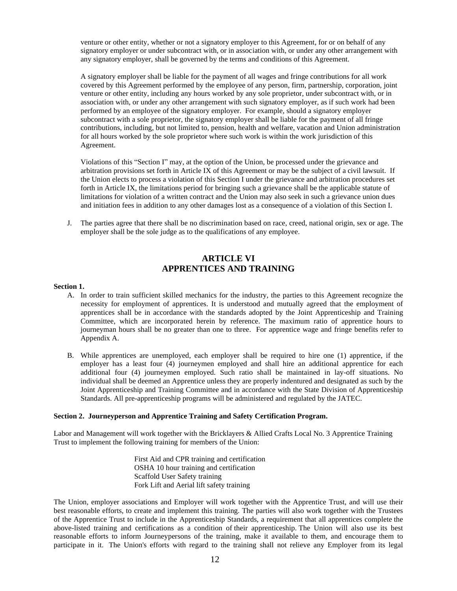venture or other entity, whether or not a signatory employer to this Agreement, for or on behalf of any signatory employer or under subcontract with, or in association with, or under any other arrangement with any signatory employer, shall be governed by the terms and conditions of this Agreement.

A signatory employer shall be liable for the payment of all wages and fringe contributions for all work covered by this Agreement performed by the employee of any person, firm, partnership, corporation, joint venture or other entity, including any hours worked by any sole proprietor, under subcontract with, or in association with, or under any other arrangement with such signatory employer, as if such work had been performed by an employee of the signatory employer. For example, should a signatory employer subcontract with a sole proprietor, the signatory employer shall be liable for the payment of all fringe contributions, including, but not limited to, pension, health and welfare, vacation and Union administration for all hours worked by the sole proprietor where such work is within the work jurisdiction of this Agreement.

Violations of this "Section I" may, at the option of the Union, be processed under the grievance and arbitration provisions set forth in Article IX of this Agreement or may be the subject of a civil lawsuit. If the Union elects to process a violation of this Section I under the grievance and arbitration procedures set forth in Article IX, the limitations period for bringing such a grievance shall be the applicable statute of limitations for violation of a written contract and the Union may also seek in such a grievance union dues and initiation fees in addition to any other damages lost as a consequence of a violation of this Section I.

J. The parties agree that there shall be no discrimination based on race, creed, national origin, sex or age. The employer shall be the sole judge as to the qualifications of any employee.

## **ARTICLE VI APPRENTICES AND TRAINING**

#### **Section 1.**

- A. In order to train sufficient skilled mechanics for the industry, the parties to this Agreement recognize the necessity for employment of apprentices. It is understood and mutually agreed that the employment of apprentices shall be in accordance with the standards adopted by the Joint Apprenticeship and Training Committee, which are incorporated herein by reference. The maximum ratio of apprentice hours to journeyman hours shall be no greater than one to three. For apprentice wage and fringe benefits refer to Appendix A.
- B. While apprentices are unemployed, each employer shall be required to hire one (1) apprentice, if the employer has a least four (4) journeymen employed and shall hire an additional apprentice for each additional four (4) journeymen employed. Such ratio shall be maintained in lay-off situations. No individual shall be deemed an Apprentice unless they are properly indentured and designated as such by the Joint Apprenticeship and Training Committee and in accordance with the State Division of Apprenticeship Standards. All pre-apprenticeship programs will be administered and regulated by the JATEC.

#### **Section 2. Journeyperson and Apprentice Training and Safety Certification Program.**

Labor and Management will work together with the Bricklayers & Allied Crafts Local No. 3 Apprentice Training Trust to implement the following training for members of the Union:

> First Aid and CPR training and certification OSHA 10 hour training and certification Scaffold User Safety training Fork Lift and Aerial lift safety training

The Union, employer associations and Employer will work together with the Apprentice Trust, and will use their best reasonable efforts, to create and implement this training. The parties will also work together with the Trustees of the Apprentice Trust to include in the Apprenticeship Standards, a requirement that all apprentices complete the above-listed training and certifications as a condition of their apprenticeship. The Union will also use its best reasonable efforts to inform Journeypersons of the training, make it available to them, and encourage them to participate in it. The Union's efforts with regard to the training shall not relieve any Employer from its legal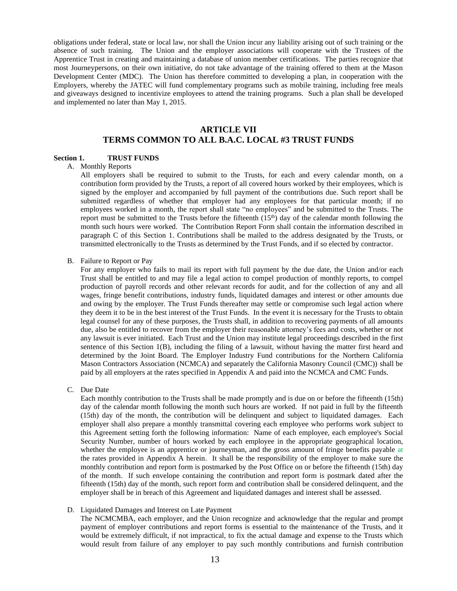obligations under federal, state or local law, nor shall the Union incur any liability arising out of such training or the absence of such training. The Union and the employer associations will cooperate with the Trustees of the Apprentice Trust in creating and maintaining a database of union member certifications. The parties recognize that most Journeypersons, on their own initiative, do not take advantage of the training offered to them at the Mason Development Center (MDC). The Union has therefore committed to developing a plan, in cooperation with the Employers, whereby the JATEC will fund complementary programs such as mobile training, including free meals and giveaways designed to incentivize employees to attend the training programs. Such a plan shall be developed and implemented no later than May 1, 2015.

## **ARTICLE VII TERMS COMMON TO ALL B.A.C. LOCAL #3 TRUST FUNDS**

#### **Section 1. TRUST FUNDS**

#### A. Monthly Reports

All employers shall be required to submit to the Trusts, for each and every calendar month, on a contribution form provided by the Trusts, a report of all covered hours worked by their employees, which is signed by the employer and accompanied by full payment of the contributions due. Such report shall be submitted regardless of whether that employer had any employees for that particular month; if no employees worked in a month, the report shall state "no employees" and be submitted to the Trusts. The report must be submitted to the Trusts before the fifteenth  $(15<sup>th</sup>)$  day of the calendar month following the month such hours were worked. The Contribution Report Form shall contain the information described in paragraph C of this Section 1. Contributions shall be mailed to the address designated by the Trusts, or transmitted electronically to the Trusts as determined by the Trust Funds, and if so elected by contractor.

#### B. Failure to Report or Pay

For any employer who fails to mail its report with full payment by the due date, the Union and/or each Trust shall be entitled to and may file a legal action to compel production of monthly reports, to compel production of payroll records and other relevant records for audit, and for the collection of any and all wages, fringe benefit contributions, industry funds, liquidated damages and interest or other amounts due and owing by the employer. The Trust Funds thereafter may settle or compromise such legal action where they deem it to be in the best interest of the Trust Funds. In the event it is necessary for the Trusts to obtain legal counsel for any of these purposes, the Trusts shall, in addition to recovering payments of all amounts due, also be entitled to recover from the employer their reasonable attorney's fees and costs, whether or not any lawsuit is ever initiated. Each Trust and the Union may institute legal proceedings described in the first sentence of this Section 1(B), including the filing of a lawsuit, without having the matter first heard and determined by the Joint Board. The Employer Industry Fund contributions for the Northern California Mason Contractors Association (NCMCA) and separately the California Masonry Council (CMC)) shall be paid by all employers at the rates specified in Appendix A and paid into the NCMCA and CMC Funds.

C. Due Date

Each monthly contribution to the Trusts shall be made promptly and is due on or before the fifteenth (15th) day of the calendar month following the month such hours are worked. If not paid in full by the fifteenth (15th) day of the month, the contribution will be delinquent and subject to liquidated damages. Each employer shall also prepare a monthly transmittal covering each employee who performs work subject to this Agreement setting forth the following information: Name of each employee, each employee's Social Security Number, number of hours worked by each employee in the appropriate geographical location, whether the employee is an apprentice or journeyman, and the gross amount of fringe benefits payable at the rates provided in Appendix A herein. It shall be the responsibility of the employer to make sure the monthly contribution and report form is postmarked by the Post Office on or before the fifteenth (15th) day of the month. If such envelope containing the contribution and report form is postmark dated after the fifteenth (15th) day of the month, such report form and contribution shall be considered delinquent, and the employer shall be in breach of this Agreement and liquidated damages and interest shall be assessed.

D. Liquidated Damages and Interest on Late Payment

The NCMCMBA, each employer, and the Union recognize and acknowledge that the regular and prompt payment of employer contributions and report forms is essential to the maintenance of the Trusts, and it would be extremely difficult, if not impractical, to fix the actual damage and expense to the Trusts which would result from failure of any employer to pay such monthly contributions and furnish contribution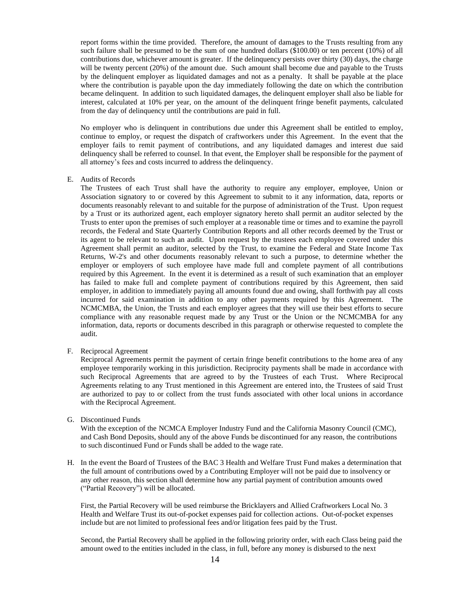report forms within the time provided. Therefore, the amount of damages to the Trusts resulting from any such failure shall be presumed to be the sum of one hundred dollars (\$100.00) or ten percent (10%) of all contributions due, whichever amount is greater. If the delinquency persists over thirty (30) days, the charge will be twenty percent (20%) of the amount due. Such amount shall become due and payable to the Trusts by the delinquent employer as liquidated damages and not as a penalty. It shall be payable at the place where the contribution is payable upon the day immediately following the date on which the contribution became delinquent. In addition to such liquidated damages, the delinquent employer shall also be liable for interest, calculated at 10% per year, on the amount of the delinquent fringe benefit payments, calculated from the day of delinquency until the contributions are paid in full.

No employer who is delinquent in contributions due under this Agreement shall be entitled to employ, continue to employ, or request the dispatch of craftworkers under this Agreement. In the event that the employer fails to remit payment of contributions, and any liquidated damages and interest due said delinquency shall be referred to counsel. In that event, the Employer shall be responsible for the payment of all attorney's fees and costs incurred to address the delinquency.

E. Audits of Records

The Trustees of each Trust shall have the authority to require any employer, employee, Union or Association signatory to or covered by this Agreement to submit to it any information, data, reports or documents reasonably relevant to and suitable for the purpose of administration of the Trust. Upon request by a Trust or its authorized agent, each employer signatory hereto shall permit an auditor selected by the Trusts to enter upon the premises of such employer at a reasonable time or times and to examine the payroll records, the Federal and State Quarterly Contribution Reports and all other records deemed by the Trust or its agent to be relevant to such an audit. Upon request by the trustees each employee covered under this Agreement shall permit an auditor, selected by the Trust, to examine the Federal and State Income Tax Returns, W-2's and other documents reasonably relevant to such a purpose, to determine whether the employer or employers of such employee have made full and complete payment of all contributions required by this Agreement. In the event it is determined as a result of such examination that an employer has failed to make full and complete payment of contributions required by this Agreement, then said employer, in addition to immediately paying all amounts found due and owing, shall forthwith pay all costs incurred for said examination in addition to any other payments required by this Agreement. The NCMCMBA, the Union, the Trusts and each employer agrees that they will use their best efforts to secure compliance with any reasonable request made by any Trust or the Union or the NCMCMBA for any information, data, reports or documents described in this paragraph or otherwise requested to complete the audit.

F. Reciprocal Agreement

Reciprocal Agreements permit the payment of certain fringe benefit contributions to the home area of any employee temporarily working in this jurisdiction. Reciprocity payments shall be made in accordance with such Reciprocal Agreements that are agreed to by the Trustees of each Trust. Where Reciprocal Agreements relating to any Trust mentioned in this Agreement are entered into, the Trustees of said Trust are authorized to pay to or collect from the trust funds associated with other local unions in accordance with the Reciprocal Agreement.

G. Discontinued Funds

With the exception of the NCMCA Employer Industry Fund and the California Masonry Council (CMC), and Cash Bond Deposits, should any of the above Funds be discontinued for any reason, the contributions to such discontinued Fund or Funds shall be added to the wage rate.

H. In the event the Board of Trustees of the BAC 3 Health and Welfare Trust Fund makes a determination that the full amount of contributions owed by a Contributing Employer will not be paid due to insolvency or any other reason, this section shall determine how any partial payment of contribution amounts owed ("Partial Recovery") will be allocated.

First, the Partial Recovery will be used reimburse the Bricklayers and Allied Craftworkers Local No. 3 Health and Welfare Trust its out-of-pocket expenses paid for collection actions. Out-of-pocket expenses include but are not limited to professional fees and/or litigation fees paid by the Trust.

Second, the Partial Recovery shall be applied in the following priority order, with each Class being paid the amount owed to the entities included in the class, in full, before any money is disbursed to the next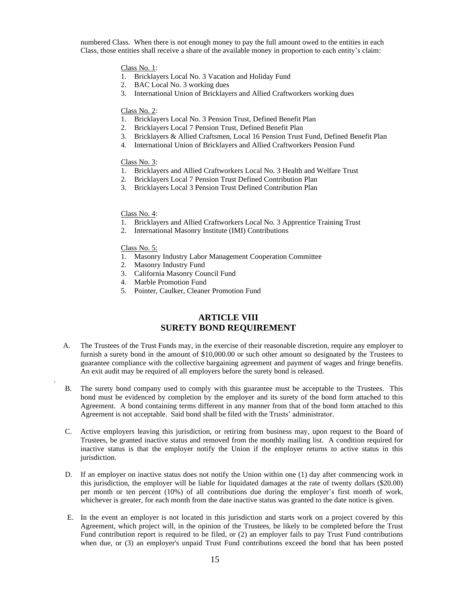numbered Class. When there is not enough money to pay the full amount owed to the entities in each Class, those entities shall receive a share of the available money in proportion to each entity's claim:

#### Class No. 1:

- 1. Bricklayers Local No. 3 Vacation and Holiday Fund
- 2. BAC Local No. 3 working dues
- 3. International Union of Bricklayers and Allied Craftworkers working dues

## Class No. 2:

- 1. Bricklayers Local No. 3 Pension Trust, Defined Benefit Plan
- 2. Bricklayers Local 7 Pension Trust, Defined Benefit Plan
- 3. Bricklayers & Allied Craftsmen, Local 16 Pension Trust Fund, Defined Benefit Plan
- 4. International Union of Bricklayers and Allied Craftworkers Pension Fund

### Class No. 3:

- 1. Bricklayers and Allied Craftworkers Local No. 3 Health and Welfare Trust
- 2. Bricklayers Local 7 Pension Trust Defined Contribution Plan
- 3. Bricklayers Local 3 Pension Trust Defined Contribution Plan

## Class No. 4:

- 1. Bricklayers and Allied Craftworkers Local No. 3 Apprentice Training Trust
- 2. International Masonry Institute (IMI) Contributions

#### Class No. 5:

.

- 1. Masonry Industry Labor Management Cooperation Committee
- 2. Masonry Industry Fund
- 3. California Masonry Council Fund
- 4. Marble Promotion Fund
- 5. Pointer, Caulker, Cleaner Promotion Fund

## **ARTICLE VIII SURETY BOND REQUIREMENT**

- A. The Trustees of the Trust Funds may, in the exercise of their reasonable discretion, require any employer to furnish a surety bond in the amount of \$10,000.00 or such other amount so designated by the Trustees to guarantee compliance with the collective bargaining agreement and payment of wages and fringe benefits. An exit audit may be required of all employers before the surety bond is released.
- B. The surety bond company used to comply with this guarantee must be acceptable to the Trustees. This bond must be evidenced by completion by the employer and its surety of the bond form attached to this Agreement. A bond containing terms different in any manner from that of the bond form attached to this Agreement is not acceptable. Said bond shall be filed with the Trusts' administrator.
- C. Active employers leaving this jurisdiction, or retiring from business may, upon request to the Board of Trustees, be granted inactive status and removed from the monthly mailing list. A condition required for inactive status is that the employer notify the Union if the employer returns to active status in this jurisdiction.
- D. If an employer on inactive status does not notify the Union within one (1) day after commencing work in this jurisdiction, the employer will be liable for liquidated damages at the rate of twenty dollars (\$20.00) per month or ten percent (10%) of all contributions due during the employer's first month of work, whichever is greater, for each month from the date inactive status was granted to the date notice is given.
- E. In the event an employer is not located in this jurisdiction and starts work on a project covered by this Agreement, which project will, in the opinion of the Trustees, be likely to be completed before the Trust Fund contribution report is required to be filed, or (2) an employer fails to pay Trust Fund contributions when due, or (3) an employer's unpaid Trust Fund contributions exceed the bond that has been posted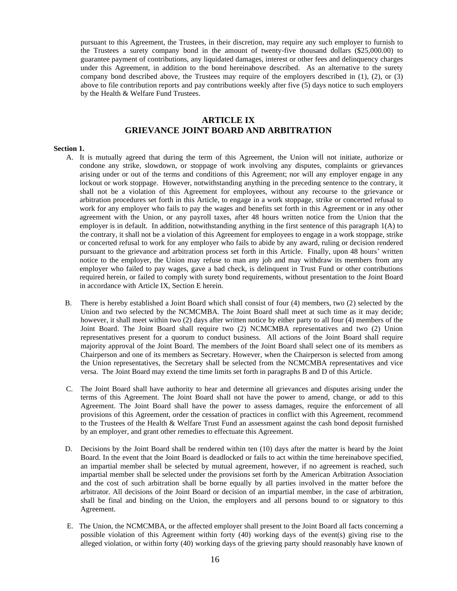pursuant to this Agreement, the Trustees, in their discretion, may require any such employer to furnish to the Trustees a surety company bond in the amount of twenty-five thousand dollars (\$25,000.00) to guarantee payment of contributions, any liquidated damages, interest or other fees and delinquency charges under this Agreement, in addition to the bond hereinabove described. As an alternative to the surety company bond described above, the Trustees may require of the employers described in (1), (2), or (3) above to file contribution reports and pay contributions weekly after five (5) days notice to such employers by the Health & Welfare Fund Trustees.

## **ARTICLE IX GRIEVANCE JOINT BOARD AND ARBITRATION**

#### **Section 1.**

- A. It is mutually agreed that during the term of this Agreement, the Union will not initiate, authorize or condone any strike, slowdown, or stoppage of work involving any disputes, complaints or grievances arising under or out of the terms and conditions of this Agreement; nor will any employer engage in any lockout or work stoppage. However, notwithstanding anything in the preceding sentence to the contrary, it shall not be a violation of this Agreement for employees, without any recourse to the grievance or arbitration procedures set forth in this Article, to engage in a work stoppage, strike or concerted refusal to work for any employer who fails to pay the wages and benefits set forth in this Agreement or in any other agreement with the Union, or any payroll taxes, after 48 hours written notice from the Union that the employer is in default. In addition, notwithstanding anything in the first sentence of this paragraph 1(A) to the contrary, it shall not be a violation of this Agreement for employees to engage in a work stoppage, strike or concerted refusal to work for any employer who fails to abide by any award, ruling or decision rendered pursuant to the grievance and arbitration process set forth in this Article. Finally, upon 48 hours' written notice to the employer, the Union may refuse to man any job and may withdraw its members from any employer who failed to pay wages, gave a bad check, is delinquent in Trust Fund or other contributions required herein, or failed to comply with surety bond requirements, without presentation to the Joint Board in accordance with Article IX, Section E herein.
- B. There is hereby established a Joint Board which shall consist of four (4) members, two (2) selected by the Union and two selected by the NCMCMBA. The Joint Board shall meet at such time as it may decide; however, it shall meet within two (2) days after written notice by either party to all four (4) members of the Joint Board. The Joint Board shall require two (2) NCMCMBA representatives and two (2) Union representatives present for a quorum to conduct business. All actions of the Joint Board shall require majority approval of the Joint Board. The members of the Joint Board shall select one of its members as Chairperson and one of its members as Secretary. However, when the Chairperson is selected from among the Union representatives, the Secretary shall be selected from the NCMCMBA representatives and vice versa. The Joint Board may extend the time limits set forth in paragraphs B and D of this Article.
- C. The Joint Board shall have authority to hear and determine all grievances and disputes arising under the terms of this Agreement. The Joint Board shall not have the power to amend, change, or add to this Agreement. The Joint Board shall have the power to assess damages, require the enforcement of all provisions of this Agreement, order the cessation of practices in conflict with this Agreement, recommend to the Trustees of the Health & Welfare Trust Fund an assessment against the cash bond deposit furnished by an employer, and grant other remedies to effectuate this Agreement.
- D. Decisions by the Joint Board shall be rendered within ten (10) days after the matter is heard by the Joint Board. In the event that the Joint Board is deadlocked or fails to act within the time hereinabove specified, an impartial member shall be selected by mutual agreement, however, if no agreement is reached, such impartial member shall be selected under the provisions set forth by the American Arbitration Association and the cost of such arbitration shall be borne equally by all parties involved in the matter before the arbitrator. All decisions of the Joint Board or decision of an impartial member, in the case of arbitration, shall be final and binding on the Union, the employers and all persons bound to or signatory to this Agreement.
- E. The Union, the NCMCMBA, or the affected employer shall present to the Joint Board all facts concerning a possible violation of this Agreement within forty (40) working days of the event(s) giving rise to the alleged violation, or within forty (40) working days of the grieving party should reasonably have known of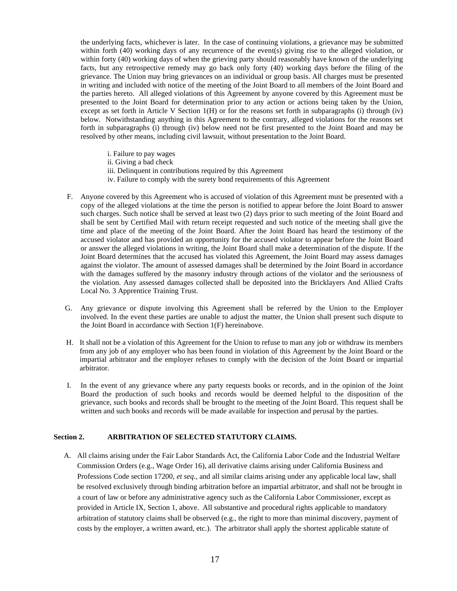the underlying facts, whichever is later. In the case of continuing violations, a grievance may be submitted within forth (40) working days of any recurrence of the event(s) giving rise to the alleged violation, or within forty (40) working days of when the grieving party should reasonably have known of the underlying facts, but any retrospective remedy may go back only forty (40) working days before the filing of the grievance. The Union may bring grievances on an individual or group basis. All charges must be presented in writing and included with notice of the meeting of the Joint Board to all members of the Joint Board and the parties hereto. All alleged violations of this Agreement by anyone covered by this Agreement must be presented to the Joint Board for determination prior to any action or actions being taken by the Union, except as set forth in Article V Section 1(H) or for the reasons set forth in subparagraphs (i) through (iv) below. Notwithstanding anything in this Agreement to the contrary, alleged violations for the reasons set forth in subparagraphs (i) through (iv) below need not be first presented to the Joint Board and may be resolved by other means, including civil lawsuit, without presentation to the Joint Board.

- i. Failure to pay wages
- ii. Giving a bad check
- iii. Delinquent in contributions required by this Agreement
- iv. Failure to comply with the surety bond requirements of this Agreement
- F. Anyone covered by this Agreement who is accused of violation of this Agreement must be presented with a copy of the alleged violations at the time the person is notified to appear before the Joint Board to answer such charges. Such notice shall be served at least two (2) days prior to such meeting of the Joint Board and shall be sent by Certified Mail with return receipt requested and such notice of the meeting shall give the time and place of the meeting of the Joint Board. After the Joint Board has heard the testimony of the accused violator and has provided an opportunity for the accused violator to appear before the Joint Board or answer the alleged violations in writing, the Joint Board shall make a determination of the dispute. If the Joint Board determines that the accused has violated this Agreement, the Joint Board may assess damages against the violator. The amount of assessed damages shall be determined by the Joint Board in accordance with the damages suffered by the masonry industry through actions of the violator and the seriousness of the violation. Any assessed damages collected shall be deposited into the Bricklayers And Allied Crafts Local No. 3 Apprentice Training Trust.
- G. Any grievance or dispute involving this Agreement shall be referred by the Union to the Employer involved. In the event these parties are unable to adjust the matter, the Union shall present such dispute to the Joint Board in accordance with Section 1(F) hereinabove.
- H. It shall not be a violation of this Agreement for the Union to refuse to man any job or withdraw its members from any job of any employer who has been found in violation of this Agreement by the Joint Board or the impartial arbitrator and the employer refuses to comply with the decision of the Joint Board or impartial arbitrator.
- I. In the event of any grievance where any party requests books or records, and in the opinion of the Joint Board the production of such books and records would be deemed helpful to the disposition of the grievance, such books and records shall be brought to the meeting of the Joint Board. This request shall be written and such books and records will be made available for inspection and perusal by the parties.

## **Section 2. ARBITRATION OF SELECTED STATUTORY CLAIMS.**

A. All claims arising under the Fair Labor Standards Act, the California Labor Code and the Industrial Welfare Commission Orders (e.g., Wage Order 16), all derivative claims arising under California Business and Professions Code section 17200, *et seq*., and all similar claims arising under any applicable local law, shall be resolved exclusively through binding arbitration before an impartial arbitrator, and shall not be brought in a court of law or before any administrative agency such as the California Labor Commissioner, except as provided in Article IX, Section 1, above. All substantive and procedural rights applicable to mandatory arbitration of statutory claims shall be observed (e.g., the right to more than minimal discovery, payment of costs by the employer, a written award, etc.). The arbitrator shall apply the shortest applicable statute of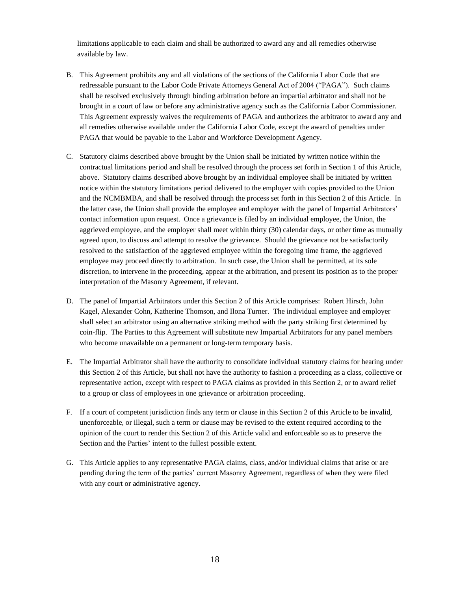limitations applicable to each claim and shall be authorized to award any and all remedies otherwise available by law.

- B. This Agreement prohibits any and all violations of the sections of the California Labor Code that are redressable pursuant to the Labor Code Private Attorneys General Act of 2004 ("PAGA"). Such claims shall be resolved exclusively through binding arbitration before an impartial arbitrator and shall not be brought in a court of law or before any administrative agency such as the California Labor Commissioner. This Agreement expressly waives the requirements of PAGA and authorizes the arbitrator to award any and all remedies otherwise available under the California Labor Code, except the award of penalties under PAGA that would be payable to the Labor and Workforce Development Agency.
- C. Statutory claims described above brought by the Union shall be initiated by written notice within the contractual limitations period and shall be resolved through the process set forth in Section 1 of this Article, above. Statutory claims described above brought by an individual employee shall be initiated by written notice within the statutory limitations period delivered to the employer with copies provided to the Union and the NCMBMBA, and shall be resolved through the process set forth in this Section 2 of this Article. In the latter case, the Union shall provide the employee and employer with the panel of Impartial Arbitrators' contact information upon request. Once a grievance is filed by an individual employee, the Union, the aggrieved employee, and the employer shall meet within thirty (30) calendar days, or other time as mutually agreed upon, to discuss and attempt to resolve the grievance. Should the grievance not be satisfactorily resolved to the satisfaction of the aggrieved employee within the foregoing time frame, the aggrieved employee may proceed directly to arbitration. In such case, the Union shall be permitted, at its sole discretion, to intervene in the proceeding, appear at the arbitration, and present its position as to the proper interpretation of the Masonry Agreement, if relevant.
- D. The panel of Impartial Arbitrators under this Section 2 of this Article comprises: Robert Hirsch, John Kagel, Alexander Cohn, Katherine Thomson, and Ilona Turner. The individual employee and employer shall select an arbitrator using an alternative striking method with the party striking first determined by coin-flip. The Parties to this Agreement will substitute new Impartial Arbitrators for any panel members who become unavailable on a permanent or long-term temporary basis.
- E. The Impartial Arbitrator shall have the authority to consolidate individual statutory claims for hearing under this Section 2 of this Article, but shall not have the authority to fashion a proceeding as a class, collective or representative action, except with respect to PAGA claims as provided in this Section 2, or to award relief to a group or class of employees in one grievance or arbitration proceeding.
- F. If a court of competent jurisdiction finds any term or clause in this Section 2 of this Article to be invalid, unenforceable, or illegal, such a term or clause may be revised to the extent required according to the opinion of the court to render this Section 2 of this Article valid and enforceable so as to preserve the Section and the Parties' intent to the fullest possible extent.
- G. This Article applies to any representative PAGA claims, class, and/or individual claims that arise or are pending during the term of the parties' current Masonry Agreement, regardless of when they were filed with any court or administrative agency.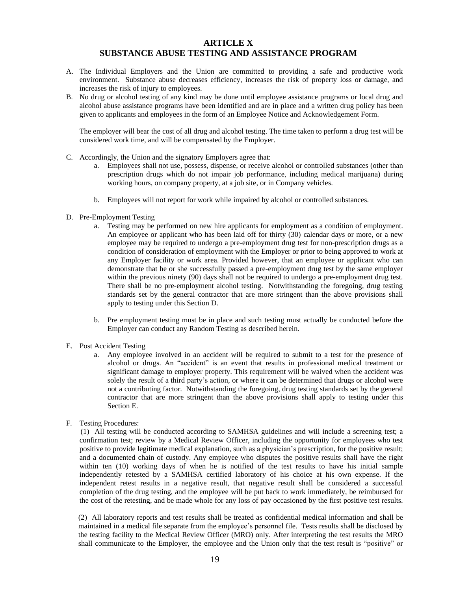## **ARTICLE X SUBSTANCE ABUSE TESTING AND ASSISTANCE PROGRAM**

- A. The Individual Employers and the Union are committed to providing a safe and productive work environment. Substance abuse decreases efficiency, increases the risk of property loss or damage, and increases the risk of injury to employees.
- B. No drug or alcohol testing of any kind may be done until employee assistance programs or local drug and alcohol abuse assistance programs have been identified and are in place and a written drug policy has been given to applicants and employees in the form of an Employee Notice and Acknowledgement Form.

The employer will bear the cost of all drug and alcohol testing. The time taken to perform a drug test will be considered work time, and will be compensated by the Employer.

- C. Accordingly, the Union and the signatory Employers agree that:
	- a. Employees shall not use, possess, dispense, or receive alcohol or controlled substances (other than prescription drugs which do not impair job performance, including medical marijuana) during working hours, on company property, at a job site, or in Company vehicles.
	- b. Employees will not report for work while impaired by alcohol or controlled substances.
- D. Pre-Employment Testing
	- a. Testing may be performed on new hire applicants for employment as a condition of employment. An employee or applicant who has been laid off for thirty (30) calendar days or more, or a new employee may be required to undergo a pre-employment drug test for non-prescription drugs as a condition of consideration of employment with the Employer or prior to being approved to work at any Employer facility or work area. Provided however, that an employee or applicant who can demonstrate that he or she successfully passed a pre-employment drug test by the same employer within the previous ninety (90) days shall not be required to undergo a pre-employment drug test. There shall be no pre-employment alcohol testing. Notwithstanding the foregoing, drug testing standards set by the general contractor that are more stringent than the above provisions shall apply to testing under this Section D.
	- b. Pre employment testing must be in place and such testing must actually be conducted before the Employer can conduct any Random Testing as described herein.
- E. Post Accident Testing
	- a. Any employee involved in an accident will be required to submit to a test for the presence of alcohol or drugs. An "accident" is an event that results in professional medical treatment or significant damage to employer property. This requirement will be waived when the accident was solely the result of a third party's action, or where it can be determined that drugs or alcohol were not a contributing factor. Notwithstanding the foregoing, drug testing standards set by the general contractor that are more stringent than the above provisions shall apply to testing under this Section E.
- F. Testing Procedures:

(1) All testing will be conducted according to SAMHSA guidelines and will include a screening test; a confirmation test; review by a Medical Review Officer, including the opportunity for employees who test positive to provide legitimate medical explanation, such as a physician's prescription, for the positive result; and a documented chain of custody. Any employee who disputes the positive results shall have the right within ten (10) working days of when he is notified of the test results to have his initial sample independently retested by a SAMHSA certified laboratory of his choice at his own expense. If the independent retest results in a negative result, that negative result shall be considered a successful completion of the drug testing, and the employee will be put back to work immediately, be reimbursed for the cost of the retesting, and be made whole for any loss of pay occasioned by the first positive test results.

(2) All laboratory reports and test results shall be treated as confidential medical information and shall be maintained in a medical file separate from the employee's personnel file. Tests results shall be disclosed by the testing facility to the Medical Review Officer (MRO) only. After interpreting the test results the MRO shall communicate to the Employer, the employee and the Union only that the test result is "positive" or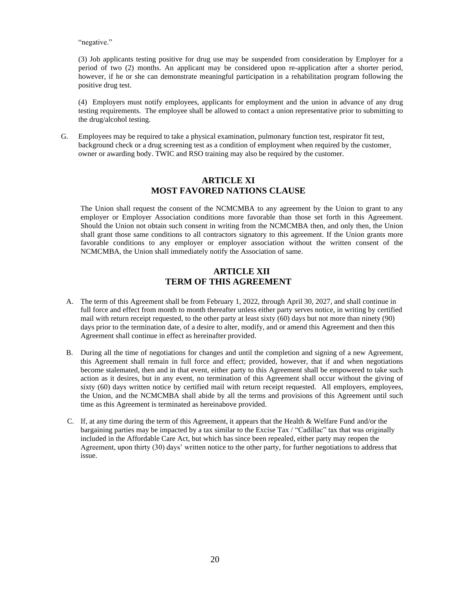"negative."

(3) Job applicants testing positive for drug use may be suspended from consideration by Employer for a period of two (2) months. An applicant may be considered upon re-application after a shorter period, however, if he or she can demonstrate meaningful participation in a rehabilitation program following the positive drug test.

(4) Employers must notify employees, applicants for employment and the union in advance of any drug testing requirements. The employee shall be allowed to contact a union representative prior to submitting to the drug/alcohol testing.

G. Employees may be required to take a physical examination, pulmonary function test, respirator fit test, background check or a drug screening test as a condition of employment when required by the customer, owner or awarding body. TWIC and RSO training may also be required by the customer.

## **ARTICLE XI MOST FAVORED NATIONS CLAUSE**

The Union shall request the consent of the NCMCMBA to any agreement by the Union to grant to any employer or Employer Association conditions more favorable than those set forth in this Agreement. Should the Union not obtain such consent in writing from the NCMCMBA then, and only then, the Union shall grant those same conditions to all contractors signatory to this agreement. If the Union grants more favorable conditions to any employer or employer association without the written consent of the NCMCMBA, the Union shall immediately notify the Association of same.

## **ARTICLE XII TERM OF THIS AGREEMENT**

- A. The term of this Agreement shall be from February 1, 2022, through April 30, 2027, and shall continue in full force and effect from month to month thereafter unless either party serves notice, in writing by certified mail with return receipt requested, to the other party at least sixty (60) days but not more than ninety (90) days prior to the termination date, of a desire to alter, modify, and or amend this Agreement and then this Agreement shall continue in effect as hereinafter provided.
- B. During all the time of negotiations for changes and until the completion and signing of a new Agreement, this Agreement shall remain in full force and effect; provided, however, that if and when negotiations become stalemated, then and in that event, either party to this Agreement shall be empowered to take such action as it desires, but in any event, no termination of this Agreement shall occur without the giving of sixty (60) days written notice by certified mail with return receipt requested. All employers, employees, the Union, and the NCMCMBA shall abide by all the terms and provisions of this Agreement until such time as this Agreement is terminated as hereinabove provided.
- C. If, at any time during the term of this Agreement, it appears that the Health  $\&$  Welfare Fund and/or the bargaining parties may be impacted by a tax similar to the Excise Tax / "Cadillac" tax that was originally included in the Affordable Care Act, but which has since been repealed, either party may reopen the Agreement, upon thirty (30) days' written notice to the other party, for further negotiations to address that issue.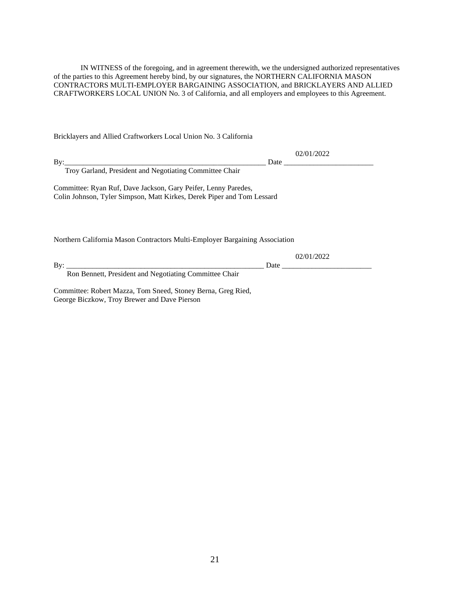IN WITNESS of the foregoing, and in agreement therewith, we the undersigned authorized representatives of the parties to this Agreement hereby bind, by our signatures, the NORTHERN CALIFORNIA MASON CONTRACTORS MULTI-EMPLOYER BARGAINING ASSOCIATION, and BRICKLAYERS AND ALLIED CRAFTWORKERS LOCAL UNION No. 3 of California, and all employers and employees to this Agreement.

Bricklayers and Allied Craftworkers Local Union No. 3 California

|                                                                             | 02/01/2022 |  |  |  |  |  |
|-----------------------------------------------------------------------------|------------|--|--|--|--|--|
|                                                                             |            |  |  |  |  |  |
| Troy Garland, President and Negotiating Committee Chair                     |            |  |  |  |  |  |
| Committee: Ryan Ruf, Dave Jackson, Gary Peifer, Lenny Paredes,              |            |  |  |  |  |  |
| Colin Johnson, Tyler Simpson, Matt Kirkes, Derek Piper and Tom Lessard      |            |  |  |  |  |  |
|                                                                             |            |  |  |  |  |  |
|                                                                             |            |  |  |  |  |  |
| Northern California Mason Contractors Multi-Employer Bargaining Association |            |  |  |  |  |  |
|                                                                             |            |  |  |  |  |  |
|                                                                             | 02/01/2022 |  |  |  |  |  |
|                                                                             |            |  |  |  |  |  |
| Ron Bennett, President and Negotiating Committee Chair                      |            |  |  |  |  |  |

Committee: Robert Mazza, Tom Sneed, Stoney Berna, Greg Ried, George Biczkow, Troy Brewer and Dave Pierson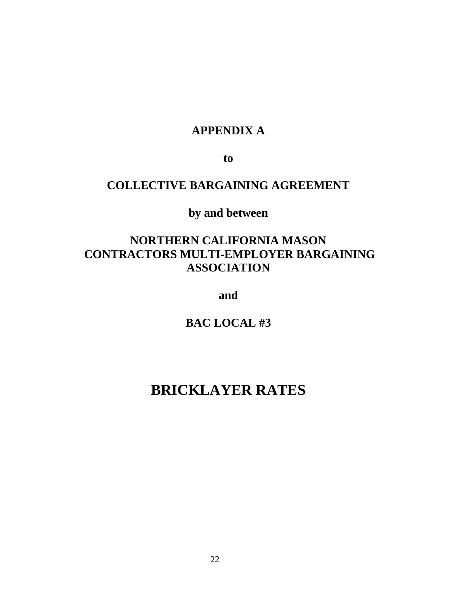## **APPENDIX A**

**to**

## **COLLECTIVE BARGAINING AGREEMENT**

**by and between**

## **NORTHERN CALIFORNIA MASON CONTRACTORS MULTI-EMPLOYER BARGAINING ASSOCIATION**

**and** 

**BAC LOCAL #3**

# **BRICKLAYER RATES**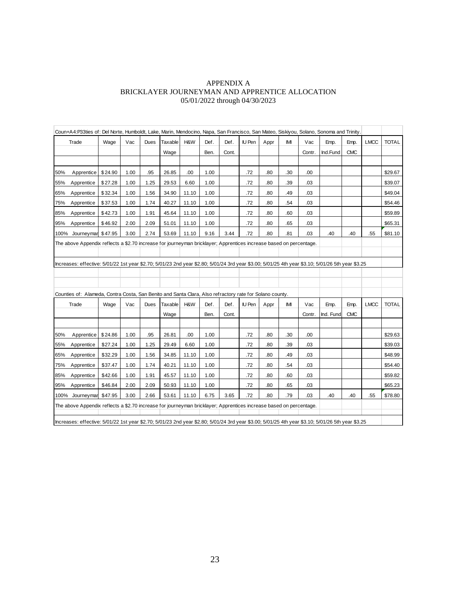## APPENDIX A BRICKLAYER JOURNEYMAN AND APPRENTICE ALLOCATION 05/01/2022 through 04/30/2023

|                                                                                                                                                   | Coun+A4:P33ties of: Del Norte, Humboldt, Lake, Marin, Mendocino, Napa, San Francisco, San Mateo, Siskiyou, Solano, Sonoma and Trinity. |         |      |      |         |       |      |       |        |      |     |        |           |            |             |              |
|---------------------------------------------------------------------------------------------------------------------------------------------------|----------------------------------------------------------------------------------------------------------------------------------------|---------|------|------|---------|-------|------|-------|--------|------|-----|--------|-----------|------------|-------------|--------------|
|                                                                                                                                                   | Trade                                                                                                                                  | Wage    | Vac  | Dues | Taxable | H&W   | Def. | Def.  | IU Pen | Appr | IМI | Vac    | Emp.      | Emp.       | <b>LMCC</b> | <b>TOTAL</b> |
|                                                                                                                                                   |                                                                                                                                        |         |      |      | Wage    |       | Ben. | Cont. |        |      |     | Contr. | Ind.Fund  | <b>CMC</b> |             |              |
|                                                                                                                                                   |                                                                                                                                        |         |      |      |         |       |      |       |        |      |     |        |           |            |             |              |
| 50%                                                                                                                                               | Apprentice                                                                                                                             | \$24.90 | 1.00 | .95  | 26.85   | .00   | 1.00 |       | .72    | .80  | .30 | .00    |           |            |             | \$29.67      |
| 55%                                                                                                                                               | Apprentice                                                                                                                             | \$27.28 | 1.00 | 1.25 | 29.53   | 6.60  | 1.00 |       | .72    | .80  | .39 | .03    |           |            |             | \$39.07      |
| 65%                                                                                                                                               | Apprentice                                                                                                                             | \$32.34 | 1.00 | 1.56 | 34.90   | 11.10 | 1.00 |       | .72    | .80  | .49 | .03    |           |            |             | \$49.04      |
| 75%                                                                                                                                               | Apprentice                                                                                                                             | \$37.53 | 1.00 | 1.74 | 40.27   | 11.10 | 1.00 |       | .72    | .80  | .54 | .03    |           |            |             | \$54.46      |
| 85%                                                                                                                                               | Apprentice                                                                                                                             | \$42.73 | 1.00 | 1.91 | 45.64   | 11.10 | 1.00 |       | .72    | .80  | .60 | .03    |           |            |             | \$59.89      |
| 95%                                                                                                                                               | Apprentice                                                                                                                             | \$46.92 | 2.00 | 2.09 | 51.01   | 11.10 | 1.00 |       | .72    | .80  | .65 | .03    |           |            |             | \$65.31      |
|                                                                                                                                                   | 100% Journeyman \$47.95                                                                                                                |         | 3.00 | 2.74 | 53.69   | 11.10 | 9.16 | 3.44  | .72    | .80  | .81 | .03    | .40       | .40        | .55         | \$81.10      |
|                                                                                                                                                   | The above Appendix reflects a \$2.70 increase for journeyman bricklayer; Apprentices increase based on percentage.                     |         |      |      |         |       |      |       |        |      |     |        |           |            |             |              |
|                                                                                                                                                   |                                                                                                                                        |         |      |      |         |       |      |       |        |      |     |        |           |            |             |              |
| Increases: effective: 5/01/22 1st year \$2.70; 5/01/23 2nd year \$2.80; 5/01/24 3rd year \$3.00; 5/01/25 4th year \$3.10; 5/01/26 5th year \$3.25 |                                                                                                                                        |         |      |      |         |       |      |       |        |      |     |        |           |            |             |              |
|                                                                                                                                                   |                                                                                                                                        |         |      |      |         |       |      |       |        |      |     |        |           |            |             |              |
|                                                                                                                                                   |                                                                                                                                        |         |      |      |         |       |      |       |        |      |     |        |           |            |             |              |
|                                                                                                                                                   | Counties of: Alameda, Contra Costa, San Benito and Santa Clara, Also refractory rate for Solano county.                                |         |      |      |         |       |      |       |        |      |     |        |           |            |             |              |
|                                                                                                                                                   | Trade                                                                                                                                  | Wage    | Vac  | Dues | Taxable | H&W   | Def. | Def.  | IU Pen | Appr | IMI | Vac    | Emp.      | Emp.       | <b>LMCC</b> | <b>TOTAL</b> |
|                                                                                                                                                   |                                                                                                                                        |         |      |      | Wage    |       | Ben. | Cont. |        |      |     | Contr. | Ind. Fund | <b>CMC</b> |             |              |
|                                                                                                                                                   |                                                                                                                                        |         |      |      |         |       |      |       |        |      |     |        |           |            |             |              |
| 50%                                                                                                                                               | Apprentice                                                                                                                             | \$24.86 | 1.00 | .95  | 26.81   | .00.  | 1.00 |       | .72    | .80  | .30 | .00    |           |            |             | \$29.63      |
| 55%                                                                                                                                               | Apprentice                                                                                                                             | \$27.24 | 1.00 | 1.25 | 29.49   | 6.60  | 1.00 |       | .72    | .80  | .39 | .03    |           |            |             | \$39.03      |
| 65%                                                                                                                                               | Apprentice                                                                                                                             | \$32.29 | 1.00 | 1.56 | 34.85   | 11.10 | 1.00 |       | .72    | .80  | .49 | .03    |           |            |             | \$48.99      |
| 75%                                                                                                                                               | Apprentice                                                                                                                             | \$37.47 | 1.00 | 1.74 | 40.21   | 11.10 | 1.00 |       | .72    | .80  | .54 | .03    |           |            |             | \$54.40      |
| 85%                                                                                                                                               | Apprentice                                                                                                                             | \$42.66 | 1.00 | 1.91 | 45.57   | 11.10 | 1.00 |       | .72    | .80  | .60 | .03    |           |            |             | \$59.82      |
| 95%                                                                                                                                               | Apprentice                                                                                                                             | \$46.84 | 2.00 | 2.09 | 50.93   | 11.10 | 1.00 |       | .72    | .80  | .65 | .03    |           |            |             | \$65.23      |
|                                                                                                                                                   | 100% Journeymar                                                                                                                        | \$47.95 | 3.00 | 2.66 | 53.61   | 11.10 | 6.75 | 3.65  | .72    | .80  | .79 | .03    | .40       | .40        | 55          | \$78.80      |
| The above Appendix reflects a \$2.70 increase for journeyman bricklayer; Apprentices increase based on percentage.                                |                                                                                                                                        |         |      |      |         |       |      |       |        |      |     |        |           |            |             |              |
|                                                                                                                                                   |                                                                                                                                        |         |      |      |         |       |      |       |        |      |     |        |           |            |             |              |
| Increases: effective: 5/01/22 1st year \$2.70; 5/01/23 2nd year \$2.80; 5/01/24 3rd year \$3.00; 5/01/25 4th year \$3.10; 5/01/26 5th year \$3.25 |                                                                                                                                        |         |      |      |         |       |      |       |        |      |     |        |           |            |             |              |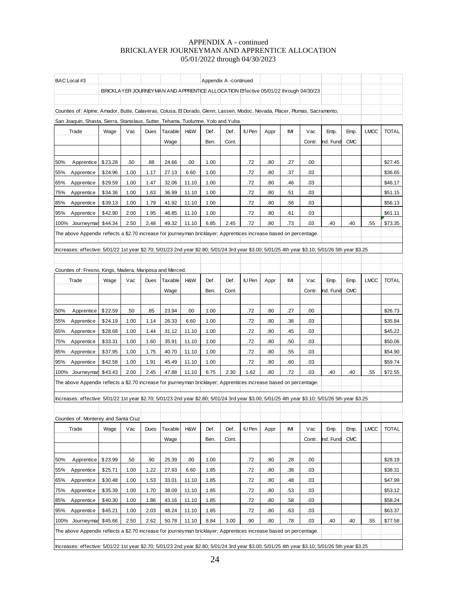## APPENDIX A - continued BRICKLAYER JOURNEYMAN AND APPRENTICE ALLOCATION 05/01/2022 through 04/30/2023

| BAC Local #3                                                                                                                                      |         |      |      |         |       |      | Appendix A -continued |               |      |     |                                                                                     |           |            |             |              |
|---------------------------------------------------------------------------------------------------------------------------------------------------|---------|------|------|---------|-------|------|-----------------------|---------------|------|-----|-------------------------------------------------------------------------------------|-----------|------------|-------------|--------------|
|                                                                                                                                                   |         |      |      |         |       |      |                       |               |      |     | BRICKLAYER JOURNEYMAN AND APPRENTICE ALLOCATION Effective 05/01/22 through 04/30/23 |           |            |             |              |
|                                                                                                                                                   |         |      |      |         |       |      |                       |               |      |     |                                                                                     |           |            |             |              |
| Counties of: Alpine, Amador, Butte, Calaveras, Colusa, El Dorado, Glenn, Lassen, Modoc, Nevada, Placer, Plumas, Sacramento,                       |         |      |      |         |       |      |                       |               |      |     |                                                                                     |           |            |             |              |
| San Joaquin, Shasta, Sierra, Stanislaus, Sutter, Tehama, Tuolumne, Yolo and Yuba.                                                                 |         |      |      |         |       |      |                       |               |      |     |                                                                                     |           |            |             |              |
| Trade                                                                                                                                             | Wage    | Vac  | Dues | Taxable | H&W   | Def. | Def.                  | IU Pen        | Appr | IMI | Vac                                                                                 | Emp.      | Emp.       | <b>LMCC</b> | <b>TOTAL</b> |
|                                                                                                                                                   |         |      |      | Wage    |       | Ben. | Cont.                 |               |      |     | Contr.                                                                              | Ind. Fund | <b>CMC</b> |             |              |
|                                                                                                                                                   |         |      |      |         |       |      |                       |               |      |     |                                                                                     |           |            |             |              |
| 50%<br>Apprentice                                                                                                                                 | \$23.28 | .50  | .88  | 24.66   | .00   | 1.00 |                       | .72           | .80  | .27 | .00                                                                                 |           |            |             | \$27.45      |
| 55%<br>Apprentice                                                                                                                                 | \$24.96 | 1.00 | 1.17 | 27.13   | 6.60  | 1.00 |                       | .72           | .80  | .37 | .03                                                                                 |           |            |             | \$36.65      |
| Apprentice<br>65%                                                                                                                                 | \$29.59 | 1.00 | 1.47 | 32.06   | 11.10 | 1.00 |                       | .72           | .80  | .46 | .03                                                                                 |           |            |             | \$46.17      |
| 75%<br>Apprentice                                                                                                                                 | \$34.36 | 1.00 | 1.63 | 36.99   | 11.10 | 1.00 |                       | .72           | .80  | .51 | .03                                                                                 |           |            |             | \$51.15      |
| 85%<br>Apprentice                                                                                                                                 | \$39.13 | 1.00 | 1.79 | 41.92   | 11.10 | 1.00 |                       | .72           | .80  | .56 | .03                                                                                 |           |            |             | \$56.13      |
| 95%<br>Apprentice                                                                                                                                 | \$42.90 | 2.00 | 1.95 | 46.85   | 11.10 | 1.00 |                       | .72           | .80  | .61 | .03                                                                                 |           |            |             | \$61.11      |
| 100% Journeymar                                                                                                                                   | \$44.34 | 2.50 | 2.48 | 49.32   | 11.10 | 6.85 | 2.45                  | .72           | .80  | .73 | .03                                                                                 | .40       | .40        | .55         | \$73.35      |
| The above Appendix reflects a \$2.70 increase for journeyman bricklayer; Apprentices increase based on percentage.                                |         |      |      |         |       |      |                       |               |      |     |                                                                                     |           |            |             |              |
| Increases: effective: 5/01/22 1st year \$2.70; 5/01/23 2nd year \$2.80; 5/01/24 3rd year \$3.00; 5/01/25 4th year \$3.10; 5/01/26 5th year \$3.25 |         |      |      |         |       |      |                       |               |      |     |                                                                                     |           |            |             |              |
|                                                                                                                                                   |         |      |      |         |       |      |                       |               |      |     |                                                                                     |           |            |             |              |
| Counties of: Fresno, Kings, Madera, Mariposa and Merced.                                                                                          |         |      |      |         |       |      |                       |               |      |     |                                                                                     |           |            |             |              |
| Trade                                                                                                                                             | Wage    | Vac  | Dues | Taxable | H&W   | Def. | Def.                  | IU Pen        | Appr | IMI | Vac                                                                                 | Emp.      | Emp.       | <b>LMCC</b> | <b>TOTAL</b> |
|                                                                                                                                                   |         |      |      | Wage    |       | Ben. | Cont.                 |               |      |     | Contr.                                                                              | Ind. Fund | <b>CMC</b> |             |              |
|                                                                                                                                                   |         |      |      |         |       |      |                       |               |      |     |                                                                                     |           |            |             |              |
| 50%<br>Apprentice                                                                                                                                 | \$22.59 | .50  | .85  | 23.94   | .00   | 1.00 |                       | .72           | .80  | .27 | .00                                                                                 |           |            |             | \$26.73      |
| 55%<br>Apprentice                                                                                                                                 | \$24.19 | 1.00 | 1.14 | 26.33   | 6.60  | 1.00 |                       | .72           | .80  | .36 | .03                                                                                 |           |            |             | \$35.84      |
| 65%<br>Apprentice                                                                                                                                 | \$28.68 | 1.00 | 1.44 | 31.12   | 11.10 | 1.00 |                       | .72           | .80  | .45 | .03                                                                                 |           |            |             | \$45.22      |
| 75%<br>Apprentice                                                                                                                                 | \$33.31 | 1.00 | 1.60 | 35.91   | 11.10 | 1.00 |                       | .72           | .80  | .50 | .03                                                                                 |           |            |             | \$50.06      |
| 85%<br>Apprentice                                                                                                                                 | \$37.95 | 1.00 | 1.75 | 40.70   | 11.10 | 1.00 |                       | .72           | .80  | .55 | .03                                                                                 |           |            |             | \$54.90      |
| 95%<br>Apprentice                                                                                                                                 | \$42.58 | 1.00 | 1.91 | 45.49   | 11.10 | 1.00 |                       | .72           | .80  | .60 | .03                                                                                 |           |            |             | \$59.74      |
| 100% Journeymar                                                                                                                                   | \$43.43 | 2.00 | 2.45 | 47.88   | 11.10 | 6.75 | 2.30                  | 1.62          | .80  | .72 | .03                                                                                 | .40       | .40        | .55         | \$72.55      |
| The above Appendix reflects a \$2.70 increase for journeyman bricklayer; Apprentices increase based on percentage.                                |         |      |      |         |       |      |                       |               |      |     |                                                                                     |           |            |             |              |
|                                                                                                                                                   |         |      |      |         |       |      |                       |               |      |     |                                                                                     |           |            |             |              |
| Increases: effective: 5/01/22 1st year \$2.70; 5/01/23 2nd year \$2.80; 5/01/24 3rd year \$3.00; 5/01/25 4th year \$3.10; 5/01/26 5th year \$3.25 |         |      |      |         |       |      |                       |               |      |     |                                                                                     |           |            |             |              |
| Counties of: Monterey and Santa Cruz                                                                                                              |         |      |      |         |       |      |                       |               |      |     |                                                                                     |           |            |             |              |
| Trade                                                                                                                                             | Wage    | Vac  | Dues | Taxable | H&W   | Def. | Def.                  | <b>IU Pen</b> | Appr | IMI | Vac                                                                                 | Emp.      | Emp.       | <b>LMCC</b> | <b>TOTAL</b> |
|                                                                                                                                                   |         |      |      | Wage    |       | Ben. | Cont.                 |               |      |     | Contr.                                                                              | Ind. Fund | <b>CMC</b> |             |              |
|                                                                                                                                                   |         |      |      |         |       |      |                       |               |      |     |                                                                                     |           |            |             |              |
| 50%<br>Apprentice                                                                                                                                 | \$23.99 | .50  | .90  | 25.39   | .00   | 1.00 |                       | .72           | .80  | .28 | .00                                                                                 |           |            |             | \$28.19      |
| 55%<br>Apprentice                                                                                                                                 | \$25.71 | 1.00 | 1.22 | 27.93   | 6.60  | 1.85 |                       | .72           | .80  | .38 | .03                                                                                 |           |            |             | \$38.31      |
| 65%<br>Apprentice                                                                                                                                 | \$30.48 | 1.00 | 1.53 | 33.01   | 11.10 | 1.85 |                       | .72           | .80  | .48 | .03                                                                                 |           |            |             | \$47.99      |
| 75%<br>Apprentice                                                                                                                                 | \$35.39 | 1.00 | 1.70 | 38.09   | 11.10 | 1.85 |                       | .72           | .80  | .53 | .03                                                                                 |           |            |             | \$53.12      |
| Apprentice<br>85%                                                                                                                                 | \$40.30 | 1.00 | 1.86 | 43.16   | 11.10 | 1.85 |                       | .72           | .80  | .58 | .03                                                                                 |           |            |             | \$58.24      |
| 95%<br>Apprentice                                                                                                                                 | \$45.21 | 1.00 | 2.03 | 48.24   | 11.10 | 1.85 |                       | .72           | .80  | .63 | .03                                                                                 |           |            |             | \$63.37      |
| 100% Journeymar                                                                                                                                   | \$45.66 | 2.50 | 2.62 | 50.78   | 11.10 | 8.84 | 3.00                  | .90           | .80  | .78 | .03                                                                                 | .40       | .40        | .55         | \$77.58      |
| The above Appendix reflects a \$2.70 increase for journeyman bricklayer; Apprentices increase based on percentage.                                |         |      |      |         |       |      |                       |               |      |     |                                                                                     |           |            |             |              |
| Increases: effective: 5/01/22 1st year \$2.70; 5/01/23 2nd year \$2.80; 5/01/24 3rd year \$3.00; 5/01/25 4th year \$3.10; 5/01/26 5th year \$3.25 |         |      |      |         |       |      |                       |               |      |     |                                                                                     |           |            |             |              |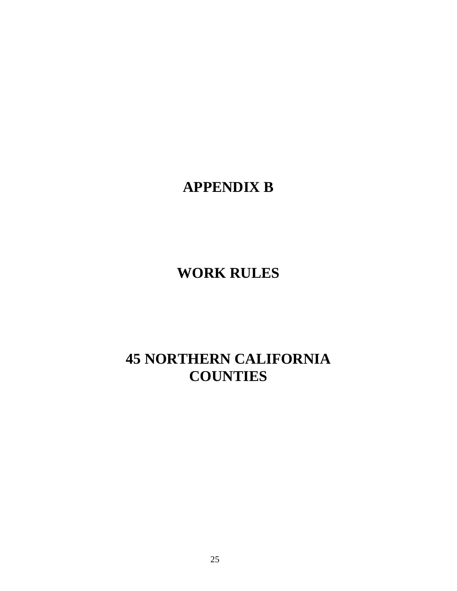# **APPENDIX B**

# **WORK RULES**

# **45 NORTHERN CALIFORNIA COUNTIES**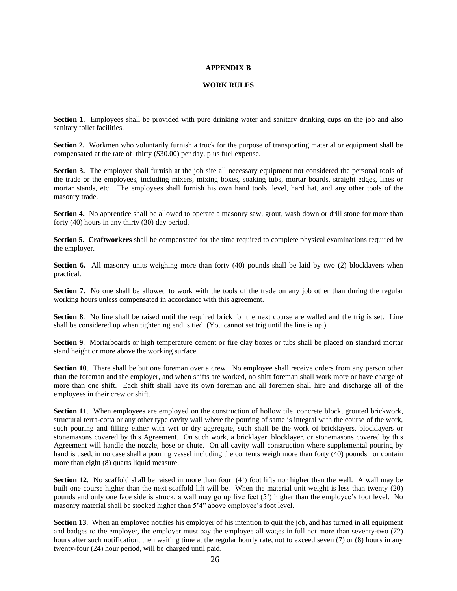### **APPENDIX B**

### **WORK RULES**

**Section 1**. Employees shall be provided with pure drinking water and sanitary drinking cups on the job and also sanitary toilet facilities.

**Section 2.** Workmen who voluntarily furnish a truck for the purpose of transporting material or equipment shall be compensated at the rate of thirty (\$30.00) per day, plus fuel expense.

**Section 3.** The employer shall furnish at the job site all necessary equipment not considered the personal tools of the trade or the employees, including mixers, mixing boxes, soaking tubs, mortar boards, straight edges, lines or mortar stands, etc. The employees shall furnish his own hand tools, level, hard hat, and any other tools of the masonry trade.

**Section 4.** No apprentice shall be allowed to operate a masonry saw, grout, wash down or drill stone for more than forty (40) hours in any thirty (30) day period.

**Section 5. Craftworkers** shall be compensated for the time required to complete physical examinations required by the employer.

**Section 6.** All masonry units weighing more than forty (40) pounds shall be laid by two (2) blocklayers when practical.

**Section 7.** No one shall be allowed to work with the tools of the trade on any job other than during the regular working hours unless compensated in accordance with this agreement.

**Section 8**. No line shall be raised until the required brick for the next course are walled and the trig is set. Line shall be considered up when tightening end is tied. (You cannot set trig until the line is up.)

**Section 9**. Mortarboards or high temperature cement or fire clay boxes or tubs shall be placed on standard mortar stand height or more above the working surface.

**Section 10**. There shall be but one foreman over a crew. No employee shall receive orders from any person other than the foreman and the employer, and when shifts are worked, no shift foreman shall work more or have charge of more than one shift. Each shift shall have its own foreman and all foremen shall hire and discharge all of the employees in their crew or shift.

**Section 11.** When employees are employed on the construction of hollow tile, concrete block, grouted brickwork, structural terra-cotta or any other type cavity wall where the pouring of same is integral with the course of the work, such pouring and filling either with wet or dry aggregate, such shall be the work of bricklayers, blocklayers or stonemasons covered by this Agreement. On such work, a bricklayer, blocklayer, or stonemasons covered by this Agreement will handle the nozzle, hose or chute. On all cavity wall construction where supplemental pouring by hand is used, in no case shall a pouring vessel including the contents weigh more than forty (40) pounds nor contain more than eight (8) quarts liquid measure.

**Section 12**. No scaffold shall be raised in more than four (4') foot lifts nor higher than the wall. A wall may be built one course higher than the next scaffold lift will be. When the material unit weight is less than twenty (20) pounds and only one face side is struck, a wall may go up five feet (5') higher than the employee's foot level. No masonry material shall be stocked higher than 5'4" above employee's foot level.

**Section 13.** When an employee notifies his employer of his intention to quit the job, and has turned in all equipment and badges to the employer, the employer must pay the employee all wages in full not more than seventy-two (72) hours after such notification; then waiting time at the regular hourly rate, not to exceed seven (7) or (8) hours in any twenty-four (24) hour period, will be charged until paid.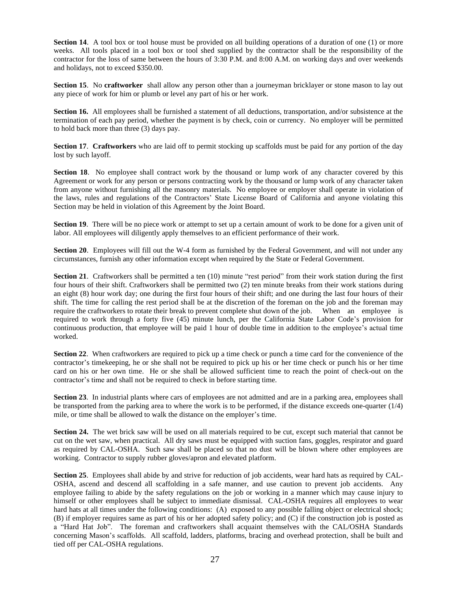**Section 14.** A tool box or tool house must be provided on all building operations of a duration of one (1) or more weeks. All tools placed in a tool box or tool shed supplied by the contractor shall be the responsibility of the contractor for the loss of same between the hours of 3:30 P.M. and 8:00 A.M. on working days and over weekends and holidays, not to exceed \$350.00.

**Section 15**. No **craftworker** shall allow any person other than a journeyman bricklayer or stone mason to lay out any piece of work for him or plumb or level any part of his or her work.

**Section 16.** All employees shall be furnished a statement of all deductions, transportation, and/or subsistence at the termination of each pay period, whether the payment is by check, coin or currency. No employer will be permitted to hold back more than three (3) days pay.

**Section 17**. **Craftworkers** who are laid off to permit stocking up scaffolds must be paid for any portion of the day lost by such layoff.

**Section 18.** No employee shall contract work by the thousand or lump work of any character covered by this Agreement or work for any person or persons contracting work by the thousand or lump work of any character taken from anyone without furnishing all the masonry materials. No employee or employer shall operate in violation of the laws, rules and regulations of the Contractors' State License Board of California and anyone violating this Section may be held in violation of this Agreement by the Joint Board.

**Section 19.** There will be no piece work or attempt to set up a certain amount of work to be done for a given unit of labor. All employees will diligently apply themselves to an efficient performance of their work.

**Section 20**. Employees will fill out the W-4 form as furnished by the Federal Government, and will not under any circumstances, furnish any other information except when required by the State or Federal Government.

**Section 21**. Craftworkers shall be permitted a ten (10) minute "rest period" from their work station during the first four hours of their shift. Craftworkers shall be permitted two (2) ten minute breaks from their work stations during an eight (8) hour work day; one during the first four hours of their shift; and one during the last four hours of their shift. The time for calling the rest period shall be at the discretion of the foreman on the job and the foreman may require the craftworkers to rotate their break to prevent complete shut down of the job. When an employee is required to work through a forty five (45) minute lunch, per the California State Labor Code's provision for continuous production, that employee will be paid 1 hour of double time in addition to the employee's actual time worked.

**Section 22.** When craftworkers are required to pick up a time check or punch a time card for the convenience of the contractor's timekeeping, he or she shall not be required to pick up his or her time check or punch his or her time card on his or her own time. He or she shall be allowed sufficient time to reach the point of check-out on the contractor's time and shall not be required to check in before starting time.

**Section 23**. In industrial plants where cars of employees are not admitted and are in a parking area, employees shall be transported from the parking area to where the work is to be performed, if the distance exceeds one-quarter (1/4) mile, or time shall be allowed to walk the distance on the employer's time.

**Section 24.** The wet brick saw will be used on all materials required to be cut, except such material that cannot be cut on the wet saw, when practical. All dry saws must be equipped with suction fans, goggles, respirator and guard as required by CAL-OSHA. Such saw shall be placed so that no dust will be blown where other employees are working. Contractor to supply rubber gloves/apron and elevated platform.

**Section 25**. Employees shall abide by and strive for reduction of job accidents, wear hard hats as required by CAL-OSHA, ascend and descend all scaffolding in a safe manner, and use caution to prevent job accidents. Any employee failing to abide by the safety regulations on the job or working in a manner which may cause injury to himself or other employees shall be subject to immediate dismissal. CAL-OSHA requires all employees to wear hard hats at all times under the following conditions: (A) exposed to any possible falling object or electrical shock; (B) if employer requires same as part of his or her adopted safety policy; and (C) if the construction job is posted as a "Hard Hat Job". The foreman and craftworkers shall acquaint themselves with the CAL/OSHA Standards concerning Mason's scaffolds. All scaffold, ladders, platforms, bracing and overhead protection, shall be built and tied off per CAL-OSHA regulations.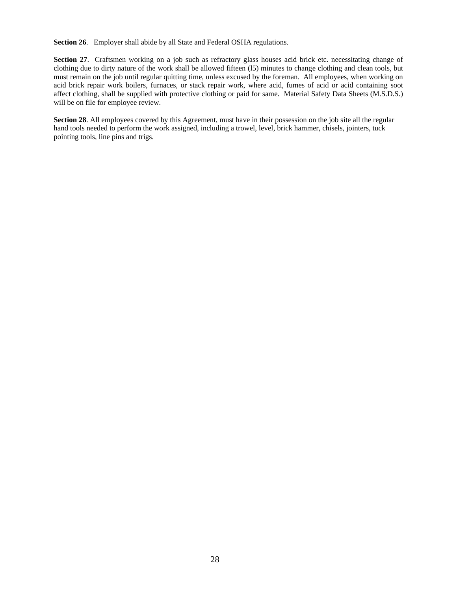**Section 26**. Employer shall abide by all State and Federal OSHA regulations.

**Section 27**. Craftsmen working on a job such as refractory glass houses acid brick etc. necessitating change of clothing due to dirty nature of the work shall be allowed fifteen (l5) minutes to change clothing and clean tools, but must remain on the job until regular quitting time, unless excused by the foreman. All employees, when working on acid brick repair work boilers, furnaces, or stack repair work, where acid, fumes of acid or acid containing soot affect clothing, shall be supplied with protective clothing or paid for same. Material Safety Data Sheets (M.S.D.S.) will be on file for employee review.

**Section 28**. All employees covered by this Agreement, must have in their possession on the job site all the regular hand tools needed to perform the work assigned, including a trowel, level, brick hammer, chisels, jointers, tuck pointing tools, line pins and trigs.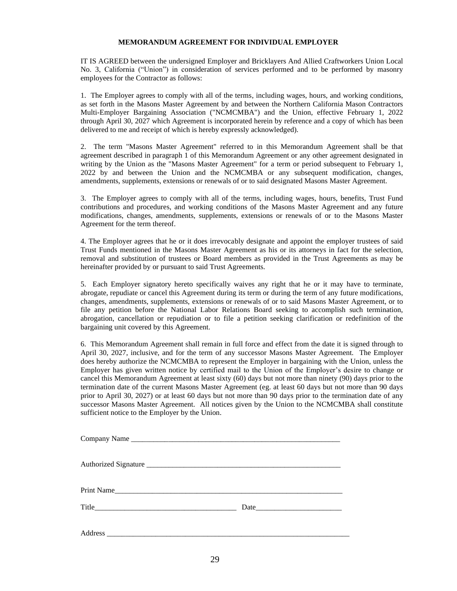## **MEMORANDUM AGREEMENT FOR INDIVIDUAL EMPLOYER**

IT IS AGREED between the undersigned Employer and Bricklayers And Allied Craftworkers Union Local No. 3, California ("Union") in consideration of services performed and to be performed by masonry employees for the Contractor as follows:

1. The Employer agrees to comply with all of the terms, including wages, hours, and working conditions, as set forth in the Masons Master Agreement by and between the Northern California Mason Contractors Multi-Employer Bargaining Association ("NCMCMBA") and the Union, effective February 1, 2022 through April 30, 2027 which Agreement is incorporated herein by reference and a copy of which has been delivered to me and receipt of which is hereby expressly acknowledged).

2. The term "Masons Master Agreement" referred to in this Memorandum Agreement shall be that agreement described in paragraph 1 of this Memorandum Agreement or any other agreement designated in writing by the Union as the "Masons Master Agreement" for a term or period subsequent to February 1, 2022 by and between the Union and the NCMCMBA or any subsequent modification, changes, amendments, supplements, extensions or renewals of or to said designated Masons Master Agreement.

3. The Employer agrees to comply with all of the terms, including wages, hours, benefits, Trust Fund contributions and procedures, and working conditions of the Masons Master Agreement and any future modifications, changes, amendments, supplements, extensions or renewals of or to the Masons Master Agreement for the term thereof.

4. The Employer agrees that he or it does irrevocably designate and appoint the employer trustees of said Trust Funds mentioned in the Masons Master Agreement as his or its attorneys in fact for the selection, removal and substitution of trustees or Board members as provided in the Trust Agreements as may be hereinafter provided by or pursuant to said Trust Agreements.

5. Each Employer signatory hereto specifically waives any right that he or it may have to terminate, abrogate, repudiate or cancel this Agreement during its term or during the term of any future modifications, changes, amendments, supplements, extensions or renewals of or to said Masons Master Agreement, or to file any petition before the National Labor Relations Board seeking to accomplish such termination, abrogation, cancellation or repudiation or to file a petition seeking clarification or redefinition of the bargaining unit covered by this Agreement.

6. This Memorandum Agreement shall remain in full force and effect from the date it is signed through to April 30, 2027, inclusive, and for the term of any successor Masons Master Agreement. The Employer does hereby authorize the NCMCMBA to represent the Employer in bargaining with the Union, unless the Employer has given written notice by certified mail to the Union of the Employer's desire to change or cancel this Memorandum Agreement at least sixty (60) days but not more than ninety (90) days prior to the termination date of the current Masons Master Agreement (eg. at least 60 days but not more than 90 days prior to April 30, 2027) or at least 60 days but not more than 90 days prior to the termination date of any successor Masons Master Agreement. All notices given by the Union to the NCMCMBA shall constitute sufficient notice to the Employer by the Union.

| Company Name |  |
|--------------|--|
|              |  |
| Print Name   |  |
|              |  |
|              |  |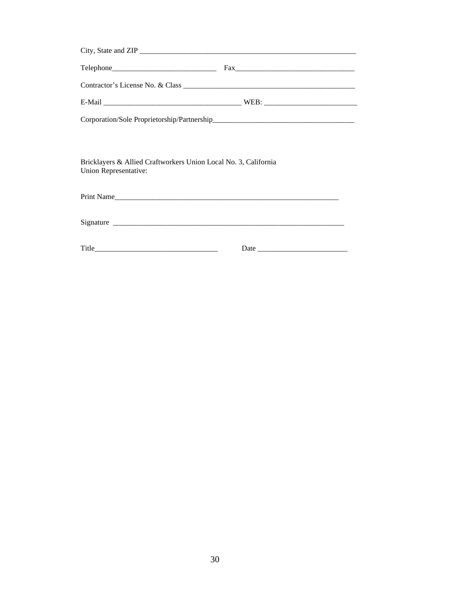|  | $\text{Fax}$ |  |  |  |  |  |  |
|--|--------------|--|--|--|--|--|--|
|  |              |  |  |  |  |  |  |
|  |              |  |  |  |  |  |  |
|  |              |  |  |  |  |  |  |

Bricklayers & Allied Craftworkers Union Local No. 3, California Union Representative:

Print Name\_\_\_\_\_\_\_\_\_\_\_\_\_\_\_\_\_\_\_\_\_\_\_\_\_\_\_\_\_\_\_\_\_\_\_\_\_\_\_\_\_\_\_\_\_\_\_\_\_\_\_\_\_\_\_\_\_\_\_\_

Signature

Title\_\_\_\_\_\_\_\_\_\_\_\_\_\_\_\_\_\_\_\_\_\_\_\_\_\_\_\_\_\_\_\_\_ Date \_\_\_\_\_\_\_\_\_\_\_\_\_\_\_\_\_\_\_\_\_\_\_\_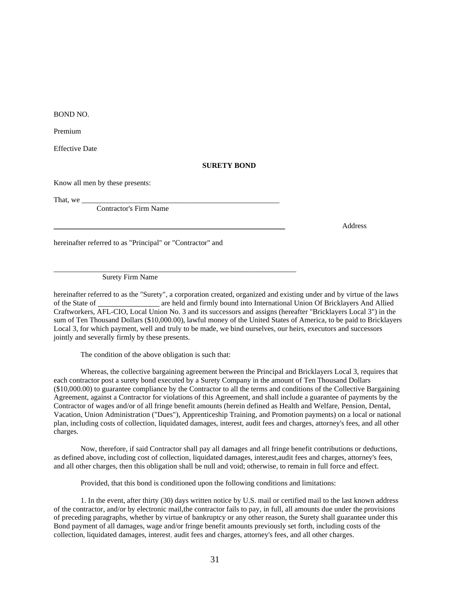BOND NO.

Premium

Effective Date

#### **SURETY BOND**

Know all men by these presents:

That, we  $\equiv$ 

Contractor's Firm Name

\_\_\_\_\_\_\_\_\_\_\_\_\_\_\_\_\_\_\_\_\_\_\_\_\_\_\_\_\_\_\_\_\_\_\_\_\_\_\_\_\_\_\_\_\_\_\_\_\_\_\_\_\_\_\_\_\_\_\_\_\_\_ Address

hereinafter referred to as "Principal" or "Contractor" and

Surety Firm Name

hereinafter referred to as the "Surety", a corporation created, organized and existing under and by virtue of the laws of the State of \_\_\_\_\_\_\_\_\_\_\_\_\_\_ are held and firmly bound into International Union Of Bricklayers And Allied Craftworkers, AFL-CIO, Local Union No. 3 and its successors and assigns (hereafter "Bricklayers Local 3") in the sum of Ten Thousand Dollars (\$10,000.00), lawful money of the United States of America, to be paid to Bricklayers Local 3, for which payment, well and truly to be made, we bind ourselves, our heirs, executors and successors jointly and severally firmly by these presents.

The condition of the above obligation is such that:

\_\_\_\_\_\_\_\_\_\_\_\_\_\_\_\_\_\_\_\_\_\_\_\_\_\_\_\_\_\_\_\_\_\_\_\_\_\_\_\_\_\_\_\_\_\_\_\_\_\_\_\_\_\_\_\_\_\_\_\_\_\_\_\_\_

Whereas, the collective bargaining agreement between the Principal and Bricklayers Local 3, requires that each contractor post a surety bond executed by a Surety Company in the amount of Ten Thousand Dollars (\$10,000.00) to guarantee compliance by the Contractor to all the terms and conditions of the Collective Bargaining Agreement, against a Contractor for violations of this Agreement, and shall include a guarantee of payments by the Contractor of wages and/or of all fringe benefit amounts (herein defined as Health and Welfare, Pension, Dental, Vacation, Union Administration ("Dues"), Apprenticeship Training, and Promotion payments) on a local or national plan, including costs of collection, liquidated damages, interest, audit fees and charges, attorney's fees, and all other charges.

Now, therefore, if said Contractor shall pay all damages and all fringe benefit contributions or deductions, as defined above, including cost of collection, liquidated damages, interest,audit fees and charges, attorney's fees, and all other charges, then this obligation shall be null and void; otherwise, to remain in full force and effect.

Provided, that this bond is conditioned upon the following conditions and limitations:

1. In the event, after thirty (30) days written notice by U.S. mail or certified mail to the last known address of the contractor, and/or by electronic mail,the contractor fails to pay, in full, all amounts due under the provisions of preceding paragraphs, whether by virtue of bankruptcy or any other reason, the Surety shall guarantee under this Bond payment of all damages, wage and/or fringe benefit amounts previously set forth, including costs of the collection, liquidated damages, interest, audit fees and charges, attorney's fees, and all other charges.